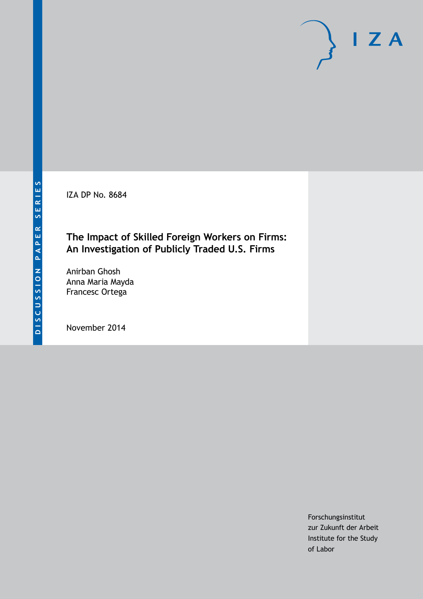IZA DP No. 8684

# **The Impact of Skilled Foreign Workers on Firms: An Investigation of Publicly Traded U.S. Firms**

Anirban Ghosh Anna Maria Mayda Francesc Ortega

November 2014

Forschungsinstitut zur Zukunft der Arbeit Institute for the Study of Labor

 $I Z A$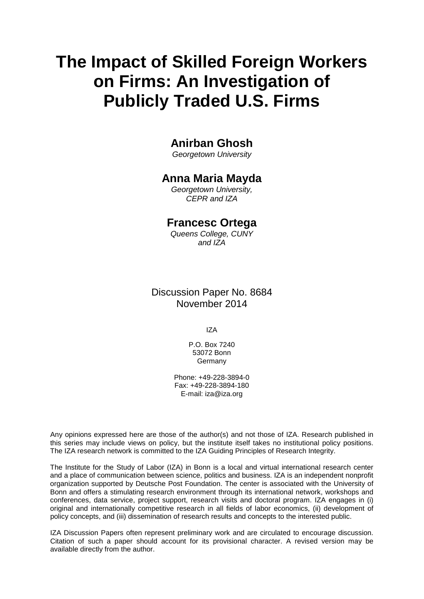# **The Impact of Skilled Foreign Workers on Firms: An Investigation of Publicly Traded U.S. Firms**

# **Anirban Ghosh**

*Georgetown University*

# **Anna Maria Mayda**

*Georgetown University, CEPR and IZA*

# **Francesc Ortega**

*Queens College, CUNY and IZA*

# Discussion Paper No. 8684 November 2014

IZA

P.O. Box 7240 53072 Bonn Germany

Phone: +49-228-3894-0 Fax: +49-228-3894-180 E-mail: [iza@iza.org](mailto:iza@iza.org)

Any opinions expressed here are those of the author(s) and not those of IZA. Research published in this series may include views on policy, but the institute itself takes no institutional policy positions. The IZA research network is committed to the IZA Guiding Principles of Research Integrity.

The Institute for the Study of Labor (IZA) in Bonn is a local and virtual international research center and a place of communication between science, politics and business. IZA is an independent nonprofit organization supported by Deutsche Post Foundation. The center is associated with the University of Bonn and offers a stimulating research environment through its international network, workshops and conferences, data service, project support, research visits and doctoral program. IZA engages in (i) original and internationally competitive research in all fields of labor economics, (ii) development of policy concepts, and (iii) dissemination of research results and concepts to the interested public.

<span id="page-1-0"></span>IZA Discussion Papers often represent preliminary work and are circulated to encourage discussion. Citation of such a paper should account for its provisional character. A revised version may be available directly from the author.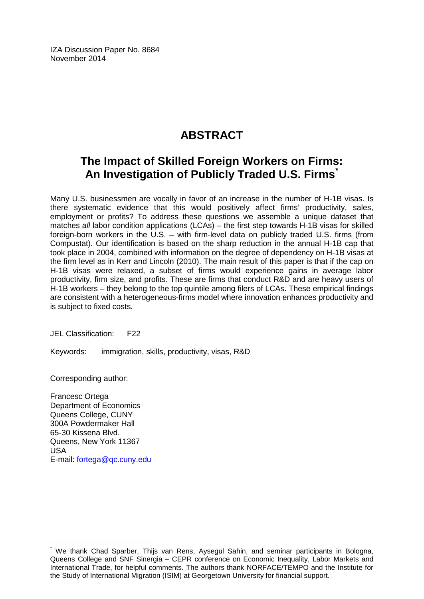IZA Discussion Paper No. 8684 November 2014

# **ABSTRACT**

# **The Impact of Skilled Foreign Workers on Firms: An Investigation of Publicly Traded U.S. Firms[\\*](#page-1-0)**

Many U.S. businessmen are vocally in favor of an increase in the number of H-1B visas. Is there systematic evidence that this would positively affect firms' productivity, sales, employment or profits? To address these questions we assemble a unique dataset that matches *all* labor condition applications (LCAs) – the first step towards H-1B visas for skilled foreign-born workers in the U.S. – with firm-level data on publicly traded U.S. firms (from Compustat). Our identification is based on the sharp reduction in the annual H-1B cap that took place in 2004, combined with information on the degree of dependency on H-1B visas at the firm level as in Kerr and Lincoln (2010). The main result of this paper is that if the cap on H-1B visas were relaxed, a subset of firms would experience gains in average labor productivity, firm size, and profits. These are firms that conduct R&D and are heavy users of H-1B workers – they belong to the top quintile among filers of LCAs. These empirical findings are consistent with a heterogeneous-firms model where innovation enhances productivity and is subject to fixed costs.

JEL Classification: F22

Keywords: immigration, skills, productivity, visas, R&D

Corresponding author:

Francesc Ortega Department of Economics Queens College, CUNY 300A Powdermaker Hall 65-30 Kissena Blvd. Queens, New York 11367 USA E-mail: [fortega@qc.cuny.edu](mailto:fortega@qc.cuny.edu)

We thank Chad Sparber, Thijs van Rens, Aysegul Sahin, and seminar participants in Bologna, Queens College and SNF Sinergia – CEPR conference on Economic Inequality, Labor Markets and International Trade, for helpful comments. The authors thank NORFACE/TEMPO and the Institute for the Study of International Migration (ISIM) at Georgetown University for financial support.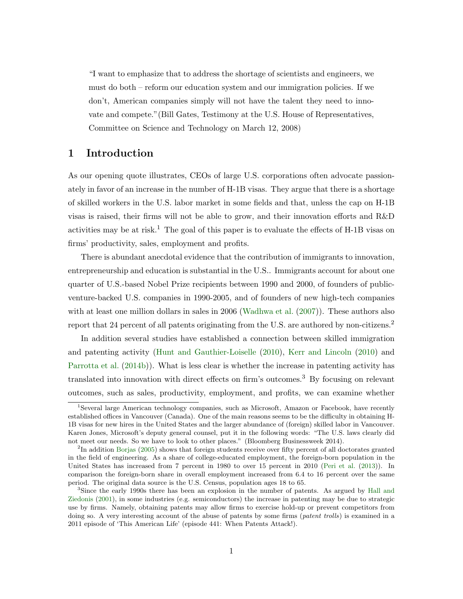"I want to emphasize that to address the shortage of scientists and engineers, we must do both – reform our education system and our immigration policies. If we don't, American companies simply will not have the talent they need to innovate and compete."(Bill Gates, Testimony at the U.S. House of Representatives, Committee on Science and Technology on March 12, 2008)

# 1 Introduction

As our opening quote illustrates, CEOs of large U.S. corporations often advocate passionately in favor of an increase in the number of H-1B visas. They argue that there is a shortage of skilled workers in the U.S. labor market in some fields and that, unless the cap on H-1B visas is raised, their firms will not be able to grow, and their innovation efforts and R&D activities may be at risk.<sup>1</sup> The goal of this paper is to evaluate the effects of H-1B visas on firms' productivity, sales, employment and profits.

There is abundant anecdotal evidence that the contribution of immigrants to innovation, entrepreneurship and education is substantial in the U.S.. Immigrants account for about one quarter of U.S.-based Nobel Prize recipients between 1990 and 2000, of founders of publicventure-backed U.S. companies in 1990-2005, and of founders of new high-tech companies with at least one million dollars in sales in 2006 [\(Wadhwa et al.](#page-32-0)  $(2007)$ ). These authors also report that 24 percent of all patents originating from the U.S. are authored by non-citizens.<sup>2</sup>

In addition several studies have established a connection between skilled immigration and patenting activity [\(Hunt and Gauthier-Loiselle](#page-31-0) [\(2010\)](#page-31-0), [Kerr and Lincoln](#page-32-1) [\(2010\)](#page-32-1) and [Parrotta et al.](#page-32-2) [\(2014b\)](#page-32-2)). What is less clear is whether the increase in patenting activity has translated into innovation with direct effects on firm's outcomes.<sup>3</sup> By focusing on relevant outcomes, such as sales, productivity, employment, and profits, we can examine whether

<sup>&</sup>lt;sup>1</sup>Several large American technology companies, such as Microsoft, Amazon or Facebook, have recently established offices in Vancouver (Canada). One of the main reasons seems to be the difficulty in obtaining H-1B visas for new hires in the United States and the larger abundance of (foreign) skilled labor in Vancouver. Karen Jones, Microsoft's deputy general counsel, put it in the following words: "The U.S. laws clearly did not meet our needs. So we have to look to other places." (Bloomberg Businessweek 2014).

<sup>&</sup>lt;sup>2</sup>In addition [Borjas](#page-31-1) [\(2005\)](#page-31-1) shows that foreign students receive over fifty percent of all doctorates granted in the field of engineering. As a share of college-educated employment, the foreign-born population in the United States has increased from 7 percent in 1980 to over 15 percent in 2010 [\(Peri et al.](#page-32-3) [\(2013\)](#page-32-3)). In comparison the foreign-born share in overall employment increased from 6.4 to 16 percent over the same period. The original data source is the U.S. Census, population ages 18 to 65.

<sup>&</sup>lt;sup>3</sup>Since the early 1990s there has been an explosion in the number of patents. As argued by [Hall and](#page-31-2) [Ziedonis](#page-31-2) [\(2001\)](#page-31-2), in some industries (e.g. semiconductors) the increase in patenting may be due to strategic use by firms. Namely, obtaining patents may allow firms to exercise hold-up or prevent competitors from doing so. A very interesting account of the abuse of patents by some firms (*patent trolls*) is examined in a 2011 episode of 'This American Life' (episode 441: When Patents Attack!).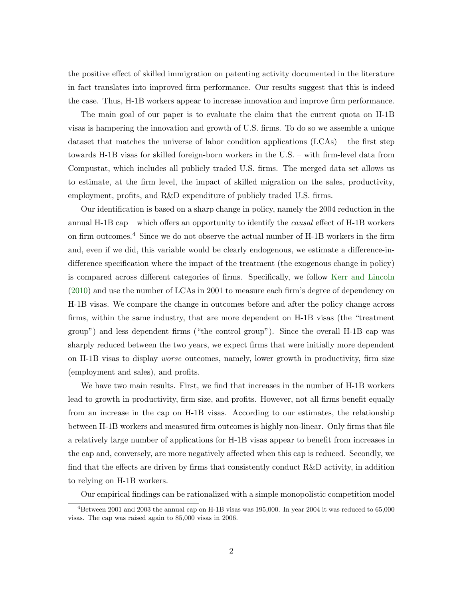the positive effect of skilled immigration on patenting activity documented in the literature in fact translates into improved firm performance. Our results suggest that this is indeed the case. Thus, H-1B workers appear to increase innovation and improve firm performance.

The main goal of our paper is to evaluate the claim that the current quota on H-1B visas is hampering the innovation and growth of U.S. firms. To do so we assemble a unique dataset that matches the universe of labor condition applications (LCAs) – the first step towards H-1B visas for skilled foreign-born workers in the U.S. – with firm-level data from Compustat, which includes all publicly traded U.S. firms. The merged data set allows us to estimate, at the firm level, the impact of skilled migration on the sales, productivity, employment, profits, and R&D expenditure of publicly traded U.S. firms.

Our identification is based on a sharp change in policy, namely the 2004 reduction in the annual H-1B cap – which offers an opportunity to identify the *causal* effect of H-1B workers on firm outcomes.<sup>4</sup> Since we do not observe the actual number of H-1B workers in the firm and, even if we did, this variable would be clearly endogenous, we estimate a difference-indifference specification where the impact of the treatment (the exogenous change in policy) is compared across different categories of firms. Specifically, we follow [Kerr and Lincoln](#page-32-1) [\(2010\)](#page-32-1) and use the number of LCAs in 2001 to measure each firm's degree of dependency on H-1B visas. We compare the change in outcomes before and after the policy change across firms, within the same industry, that are more dependent on H-1B visas (the "treatment group") and less dependent firms ("the control group"). Since the overall H-1B cap was sharply reduced between the two years, we expect firms that were initially more dependent on H-1B visas to display worse outcomes, namely, lower growth in productivity, firm size (employment and sales), and profits.

We have two main results. First, we find that increases in the number of H-1B workers lead to growth in productivity, firm size, and profits. However, not all firms benefit equally from an increase in the cap on H-1B visas. According to our estimates, the relationship between H-1B workers and measured firm outcomes is highly non-linear. Only firms that file a relatively large number of applications for H-1B visas appear to benefit from increases in the cap and, conversely, are more negatively affected when this cap is reduced. Secondly, we find that the effects are driven by firms that consistently conduct R&D activity, in addition to relying on H-1B workers.

Our empirical findings can be rationalized with a simple monopolistic competition model

<sup>&</sup>lt;sup>4</sup>Between 2001 and 2003 the annual cap on H-1B visas was 195,000. In year 2004 it was reduced to 65,000 visas. The cap was raised again to 85,000 visas in 2006.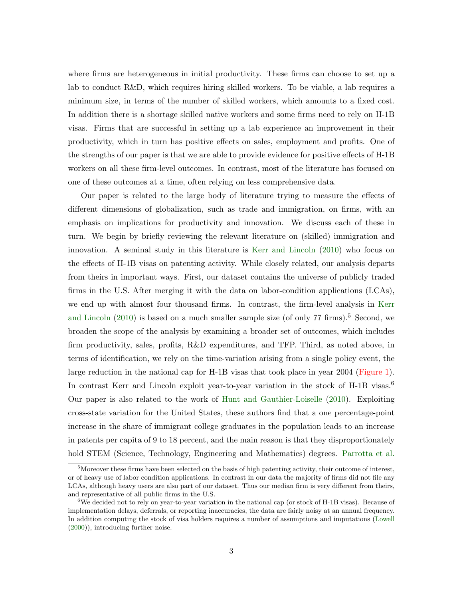where firms are heterogeneous in initial productivity. These firms can choose to set up a lab to conduct R&D, which requires hiring skilled workers. To be viable, a lab requires a minimum size, in terms of the number of skilled workers, which amounts to a fixed cost. In addition there is a shortage skilled native workers and some firms need to rely on H-1B visas. Firms that are successful in setting up a lab experience an improvement in their productivity, which in turn has positive effects on sales, employment and profits. One of the strengths of our paper is that we are able to provide evidence for positive effects of H-1B workers on all these firm-level outcomes. In contrast, most of the literature has focused on one of these outcomes at a time, often relying on less comprehensive data.

Our paper is related to the large body of literature trying to measure the effects of different dimensions of globalization, such as trade and immigration, on firms, with an emphasis on implications for productivity and innovation. We discuss each of these in turn. We begin by briefly reviewing the relevant literature on (skilled) immigration and innovation. A seminal study in this literature is [Kerr and Lincoln](#page-32-1) [\(2010\)](#page-32-1) who focus on the effects of H-1B visas on patenting activity. While closely related, our analysis departs from theirs in important ways. First, our dataset contains the universe of publicly traded firms in the U.S. After merging it with the data on labor-condition applications (LCAs), we end up with almost four thousand firms. In contrast, the firm-level analysis in [Kerr](#page-32-1) [and Lincoln](#page-32-1)  $(2010)$  is based on a much smaller sample size (of only 77 firms).<sup>5</sup> Second, we broaden the scope of the analysis by examining a broader set of outcomes, which includes firm productivity, sales, profits, R&D expenditures, and TFP. Third, as noted above, in terms of identification, we rely on the time-variation arising from a single policy event, the large reduction in the national cap for H-1B visas that took place in year 2004 [\(Figure 1\)](#page-44-0). In contrast Kerr and Lincoln exploit year-to-year variation in the stock of H-1B visas.<sup>6</sup> Our paper is also related to the work of [Hunt and Gauthier-Loiselle](#page-31-0) [\(2010\)](#page-31-0). Exploiting cross-state variation for the United States, these authors find that a one percentage-point increase in the share of immigrant college graduates in the population leads to an increase in patents per capita of 9 to 18 percent, and the main reason is that they disproportionately hold STEM (Science, Technology, Engineering and Mathematics) degrees. [Parrotta et al.](#page-32-2)

<sup>&</sup>lt;sup>5</sup>Moreover these firms have been selected on the basis of high patenting activity, their outcome of interest, or of heavy use of labor condition applications. In contrast in our data the majority of firms did not file any LCAs, although heavy users are also part of our dataset. Thus our median firm is very different from theirs, and representative of all public firms in the U.S.

<sup>&</sup>lt;sup>6</sup>We decided not to rely on year-to-year variation in the national cap (or stock of H-1B visas). Because of implementation delays, deferrals, or reporting inaccuracies, the data are fairly noisy at an annual frequency. In addition computing the stock of visa holders requires a number of assumptions and imputations [\(Lowell](#page-32-4) [\(2000\)](#page-32-4)), introducing further noise.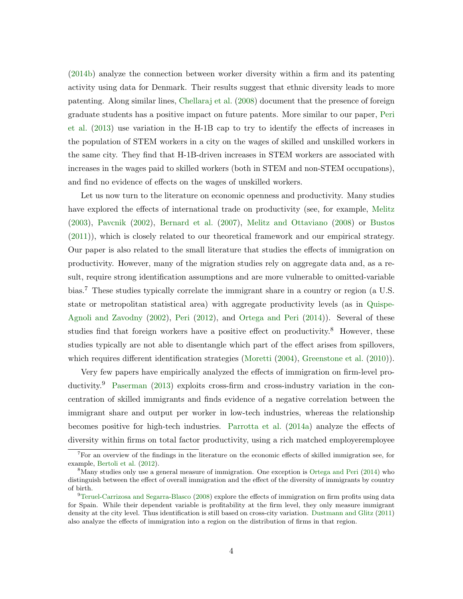[\(2014b\)](#page-32-2) analyze the connection between worker diversity within a firm and its patenting activity using data for Denmark. Their results suggest that ethnic diversity leads to more patenting. Along similar lines, [Chellaraj et al.](#page-31-3) [\(2008\)](#page-31-3) document that the presence of foreign graduate students has a positive impact on future patents. More similar to our paper, [Peri](#page-32-3) [et al.](#page-32-3) [\(2013\)](#page-32-3) use variation in the H-1B cap to try to identify the effects of increases in the population of STEM workers in a city on the wages of skilled and unskilled workers in the same city. They find that H-1B-driven increases in STEM workers are associated with increases in the wages paid to skilled workers (both in STEM and non-STEM occupations), and find no evidence of effects on the wages of unskilled workers.

Let us now turn to the literature on economic openness and productivity. Many studies have explored the effects of international trade on productivity (see, for example, [Melitz](#page-32-5) [\(2003\)](#page-32-5), [Pavcnik](#page-32-6) [\(2002\)](#page-32-6), [Bernard et al.](#page-31-4) [\(2007\)](#page-31-4), [Melitz and Ottaviano](#page-32-7) [\(2008\)](#page-32-7) or [Bustos](#page-31-5) [\(2011\)](#page-31-5)), which is closely related to our theoretical framework and our empirical strategy. Our paper is also related to the small literature that studies the effects of immigration on productivity. However, many of the migration studies rely on aggregate data and, as a result, require strong identification assumptions and are more vulnerable to omitted-variable bias.<sup>7</sup> These studies typically correlate the immigrant share in a country or region (a U.S. state or metropolitan statistical area) with aggregate productivity levels (as in [Quispe-](#page-32-8)[Agnoli and Zavodny](#page-32-8) [\(2002\)](#page-32-8), [Peri](#page-32-9) [\(2012\)](#page-32-9), and [Ortega and Peri](#page-32-10) [\(2014\)](#page-32-10)). Several of these studies find that foreign workers have a positive effect on productivity.<sup>8</sup> However, these studies typically are not able to disentangle which part of the effect arises from spillovers, which requires different identification strategies [\(Moretti](#page-32-11) [\(2004\)](#page-32-11), [Greenstone et al.](#page-31-6) [\(2010\)](#page-31-6)).

Very few papers have empirically analyzed the effects of immigration on firm-level pro-ductivity.<sup>9</sup> [Paserman](#page-32-12) [\(2013\)](#page-32-12) exploits cross-firm and cross-industry variation in the concentration of skilled immigrants and finds evidence of a negative correlation between the immigrant share and output per worker in low-tech industries, whereas the relationship becomes positive for high-tech industries. [Parrotta et al.](#page-32-13) [\(2014a\)](#page-32-13) analyze the effects of diversity within firms on total factor productivity, using a rich matched employeremployee

<sup>7</sup>For an overview of the findings in the literature on the economic effects of skilled immigration see, for example, [Bertoli et al.](#page-31-7) [\(2012\)](#page-31-7).

<sup>&</sup>lt;sup>8</sup>Many studies only use a general measure of immigration. One exception is [Ortega and Peri](#page-32-10) [\(2014\)](#page-32-10) who distinguish between the effect of overall immigration and the effect of the diversity of immigrants by country of birth.

<sup>9</sup>[Teruel-Carrizosa and Segarra-Blasco](#page-32-14) [\(2008\)](#page-32-14) explore the effects of immigration on firm profits using data for Spain. While their dependent variable is profitability at the firm level, they only measure immigrant density at the city level. Thus identification is still based on cross-city variation. [Dustmann and Glitz](#page-31-8) [\(2011\)](#page-31-8) also analyze the effects of immigration into a region on the distribution of firms in that region.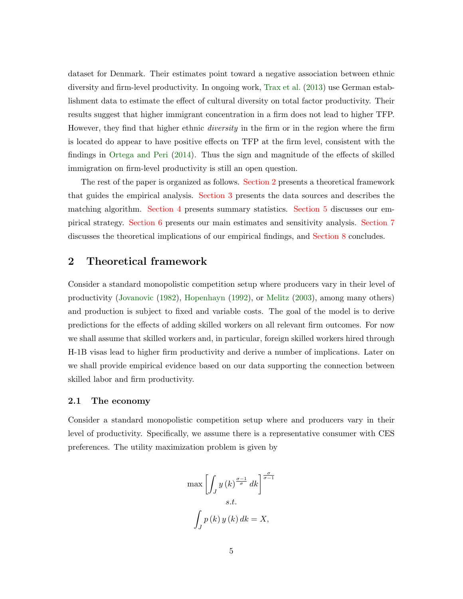dataset for Denmark. Their estimates point toward a negative association between ethnic diversity and firm-level productivity. In ongoing work, [Trax et al.](#page-32-15) [\(2013\)](#page-32-15) use German establishment data to estimate the effect of cultural diversity on total factor productivity. Their results suggest that higher immigrant concentration in a firm does not lead to higher TFP. However, they find that higher ethnic *diversity* in the firm or in the region where the firm is located do appear to have positive effects on TFP at the firm level, consistent with the findings in [Ortega and Peri](#page-32-10) [\(2014\)](#page-32-10). Thus the sign and magnitude of the effects of skilled immigration on firm-level productivity is still an open question.

The rest of the paper is organized as follows. [Section 2](#page-7-0) presents a theoretical framework that guides the empirical analysis. [Section 3](#page-10-0) presents the data sources and describes the matching algorithm. [Section 4](#page-14-0) presents summary statistics. [Section 5](#page-16-0) discusses our empirical strategy. [Section 6](#page-20-0) presents our main estimates and sensitivity analysis. [Section 7](#page-27-0) discusses the theoretical implications of our empirical findings, and [Section 8](#page-29-0) concludes.

# <span id="page-7-0"></span>2 Theoretical framework

Consider a standard monopolistic competition setup where producers vary in their level of productivity [\(Jovanovic](#page-31-9) [\(1982\)](#page-31-9), [Hopenhayn](#page-31-10) [\(1992\)](#page-31-10), or [Melitz](#page-32-5) [\(2003\)](#page-32-5), among many others) and production is subject to fixed and variable costs. The goal of the model is to derive predictions for the effects of adding skilled workers on all relevant firm outcomes. For now we shall assume that skilled workers and, in particular, foreign skilled workers hired through H-1B visas lead to higher firm productivity and derive a number of implications. Later on we shall provide empirical evidence based on our data supporting the connection between skilled labor and firm productivity.

#### 2.1 The economy

Consider a standard monopolistic competition setup where and producers vary in their level of productivity. Specifically, we assume there is a representative consumer with CES preferences. The utility maximization problem is given by

$$
\max \left[ \int_{J} y(k)^{\frac{\sigma - 1}{\sigma}} dk \right]^{\frac{\sigma}{\sigma - 1}}
$$
  
s.t.  

$$
\int_{J} p(k) y(k) dk = X,
$$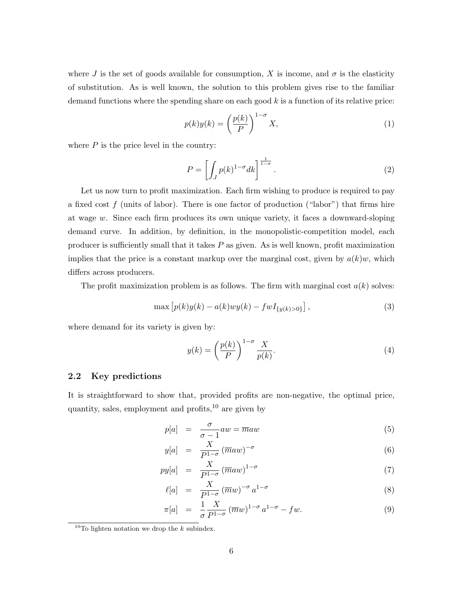where J is the set of goods available for consumption, X is income, and  $\sigma$  is the elasticity of substitution. As is well known, the solution to this problem gives rise to the familiar demand functions where the spending share on each good  $k$  is a function of its relative price:

$$
p(k)y(k) = \left(\frac{p(k)}{P}\right)^{1-\sigma} X,\tag{1}
$$

where  $P$  is the price level in the country:

$$
P = \left[ \int_{J} p(k)^{1-\sigma} dk \right]^{\frac{1}{1-\sigma}}.
$$
 (2)

Let us now turn to profit maximization. Each firm wishing to produce is required to pay a fixed cost  $f$  (units of labor). There is one factor of production ("labor") that firms hire at wage w. Since each firm produces its own unique variety, it faces a downward-sloping demand curve. In addition, by definition, in the monopolistic-competition model, each producer is sufficiently small that it takes  $P$  as given. As is well known, profit maximization implies that the price is a constant markup over the marginal cost, given by  $a(k)w$ , which differs across producers.

The profit maximization problem is as follows. The firm with marginal cost  $a(k)$  solves:

$$
\max [p(k)y(k) - a(k)wy(k) - fwI_{\{y(k) > 0\}}],
$$
\n(3)

where demand for its variety is given by:

$$
y(k) = \left(\frac{p(k)}{P}\right)^{1-\sigma} \frac{X}{p(k)}.\tag{4}
$$

#### 2.2 Key predictions

It is straightforward to show that, provided profits are non-negative, the optimal price, quantity, sales, employment and profits,  $^{10}$  are given by

$$
p[a] = \frac{\sigma}{\sigma - 1} aw = \overline{m} aw \tag{5}
$$

<span id="page-8-0"></span>
$$
y[a] = \frac{X}{P^{1-\sigma}} (\overline{m}aw)^{-\sigma} \tag{6}
$$

$$
py[a] = \frac{X}{P^{1-\sigma}} (\overline{m}aw)^{1-\sigma} \tag{7}
$$

$$
\ell[a] = \frac{X}{P^{1-\sigma}} (\overline{m}w)^{-\sigma} a^{1-\sigma} \tag{8}
$$

$$
\pi[a] = \frac{1}{\sigma} \frac{X}{P^{1-\sigma}} (\overline{m}w)^{1-\sigma} a^{1-\sigma} - fw. \tag{9}
$$

<sup>&</sup>lt;sup>10</sup>To lighten notation we drop the  $k$  subindex.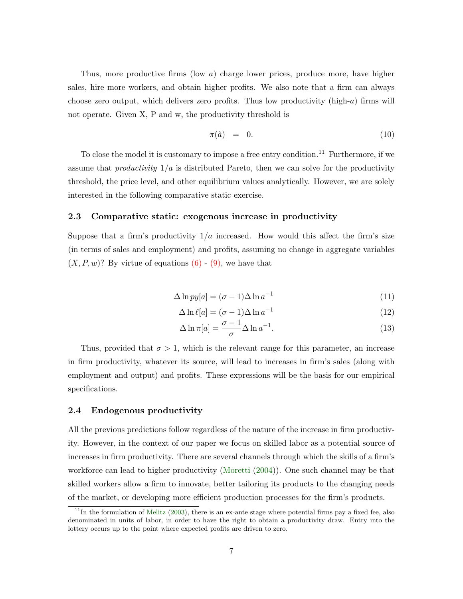Thus, more productive firms (low a) charge lower prices, produce more, have higher sales, hire more workers, and obtain higher profits. We also note that a firm can always choose zero output, which delivers zero profits. Thus low productivity (high- $a$ ) firms will not operate. Given X, P and w, the productivity threshold is

$$
\pi(\hat{a}) = 0. \tag{10}
$$

To close the model it is customary to impose a free entry condition.<sup>11</sup> Furthermore, if we assume that *productivity*  $1/a$  is distributed Pareto, then we can solve for the productivity threshold, the price level, and other equilibrium values analytically. However, we are solely interested in the following comparative static exercise.

#### 2.3 Comparative static: exogenous increase in productivity

Suppose that a firm's productivity  $1/a$  increased. How would this affect the firm's size (in terms of sales and employment) and profits, assuming no change in aggregate variables  $(X, P, w)$ ? By virtue of equations  $(6)$  -  $(9)$ , we have that

$$
\Delta \ln py[a] = (\sigma - 1)\Delta \ln a^{-1} \tag{11}
$$

$$
\Delta \ln \ell[a] = (\sigma - 1)\Delta \ln a^{-1} \tag{12}
$$

$$
\Delta \ln \pi[a] = \frac{\sigma - 1}{\sigma} \Delta \ln a^{-1}.
$$
\n(13)

Thus, provided that  $\sigma > 1$ , which is the relevant range for this parameter, an increase in firm productivity, whatever its source, will lead to increases in firm's sales (along with employment and output) and profits. These expressions will be the basis for our empirical specifications.

#### 2.4 Endogenous productivity

All the previous predictions follow regardless of the nature of the increase in firm productivity. However, in the context of our paper we focus on skilled labor as a potential source of increases in firm productivity. There are several channels through which the skills of a firm's workforce can lead to higher productivity [\(Moretti](#page-32-11) [\(2004\)](#page-32-11)). One such channel may be that skilled workers allow a firm to innovate, better tailoring its products to the changing needs of the market, or developing more efficient production processes for the firm's products.

 $11$ In the formulation of [Melitz](#page-32-5) [\(2003\)](#page-32-5), there is an ex-ante stage where potential firms pay a fixed fee, also denominated in units of labor, in order to have the right to obtain a productivity draw. Entry into the lottery occurs up to the point where expected profits are driven to zero.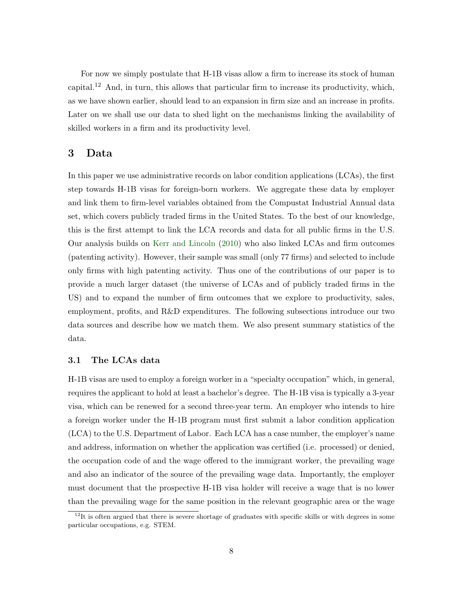For now we simply postulate that H-1B visas allow a firm to increase its stock of human capital.<sup>12</sup> And, in turn, this allows that particular firm to increase its productivity, which, as we have shown earlier, should lead to an expansion in firm size and an increase in profits. Later on we shall use our data to shed light on the mechanisms linking the availability of skilled workers in a firm and its productivity level.

# <span id="page-10-0"></span>3 Data

In this paper we use administrative records on labor condition applications (LCAs), the first step towards H-1B visas for foreign-born workers. We aggregate these data by employer and link them to firm-level variables obtained from the Compustat Industrial Annual data set, which covers publicly traded firms in the United States. To the best of our knowledge, this is the first attempt to link the LCA records and data for all public firms in the U.S. Our analysis builds on [Kerr and Lincoln](#page-32-1) [\(2010\)](#page-32-1) who also linked LCAs and firm outcomes (patenting activity). However, their sample was small (only 77 firms) and selected to include only firms with high patenting activity. Thus one of the contributions of our paper is to provide a much larger dataset (the universe of LCAs and of publicly traded firms in the US) and to expand the number of firm outcomes that we explore to productivity, sales, employment, profits, and R&D expenditures. The following subsections introduce our two data sources and describe how we match them. We also present summary statistics of the data.

#### 3.1 The LCAs data

H-1B visas are used to employ a foreign worker in a "specialty occupation" which, in general, requires the applicant to hold at least a bachelor's degree. The H-1B visa is typically a 3-year visa, which can be renewed for a second three-year term. An employer who intends to hire a foreign worker under the H-1B program must first submit a labor condition application (LCA) to the U.S. Department of Labor. Each LCA has a case number, the employer's name and address, information on whether the application was certified (i.e. processed) or denied, the occupation code of and the wage offered to the immigrant worker, the prevailing wage and also an indicator of the source of the prevailing wage data. Importantly, the employer must document that the prospective H-1B visa holder will receive a wage that is no lower than the prevailing wage for the same position in the relevant geographic area or the wage

 $12$ It is often argued that there is severe shortage of graduates with specific skills or with degrees in some particular occupations, e.g. STEM.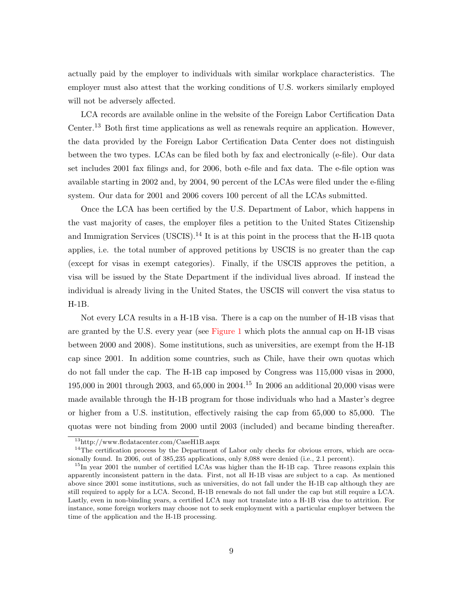actually paid by the employer to individuals with similar workplace characteristics. The employer must also attest that the working conditions of U.S. workers similarly employed will not be adversely affected.

LCA records are available online in the website of the Foreign Labor Certification Data Center.<sup>13</sup> Both first time applications as well as renewals require an application. However, the data provided by the Foreign Labor Certification Data Center does not distinguish between the two types. LCAs can be filed both by fax and electronically (e-file). Our data set includes 2001 fax filings and, for 2006, both e-file and fax data. The e-file option was available starting in 2002 and, by 2004, 90 percent of the LCAs were filed under the e-filing system. Our data for 2001 and 2006 covers 100 percent of all the LCAs submitted.

Once the LCA has been certified by the U.S. Department of Labor, which happens in the vast majority of cases, the employer files a petition to the United States Citizenship and Immigration Services (USCIS).<sup>14</sup> It is at this point in the process that the H-1B quota applies, i.e. the total number of approved petitions by USCIS is no greater than the cap (except for visas in exempt categories). Finally, if the USCIS approves the petition, a visa will be issued by the State Department if the individual lives abroad. If instead the individual is already living in the United States, the USCIS will convert the visa status to H-1B.

Not every LCA results in a H-1B visa. There is a cap on the number of H-1B visas that are granted by the U.S. every year (see [Figure 1](#page-44-0) which plots the annual cap on H-1B visas between 2000 and 2008). Some institutions, such as universities, are exempt from the H-1B cap since 2001. In addition some countries, such as Chile, have their own quotas which do not fall under the cap. The H-1B cap imposed by Congress was 115,000 visas in 2000, 195,000 in 2001 through 2003, and 65,000 in 2004.<sup>15</sup> In 2006 an additional 20,000 visas were made available through the H-1B program for those individuals who had a Master's degree or higher from a U.S. institution, effectively raising the cap from 65,000 to 85,000. The quotas were not binding from 2000 until 2003 (included) and became binding thereafter.

<sup>13</sup>http://www.flcdatacenter.com/CaseH1B.aspx

 $14$ The certification process by the Department of Labor only checks for obvious errors, which are occasionally found. In 2006, out of 385,235 applications, only 8,088 were denied (i.e., 2.1 percent).

<sup>&</sup>lt;sup>15</sup>In year 2001 the number of certified LCAs was higher than the H-1B cap. Three reasons explain this apparently inconsistent pattern in the data. First, not all H-1B visas are subject to a cap. As mentioned above since 2001 some institutions, such as universities, do not fall under the H-1B cap although they are still required to apply for a LCA. Second, H-1B renewals do not fall under the cap but still require a LCA. Lastly, even in non-binding years, a certified LCA may not translate into a H-1B visa due to attrition. For instance, some foreign workers may choose not to seek employment with a particular employer between the time of the application and the H-1B processing.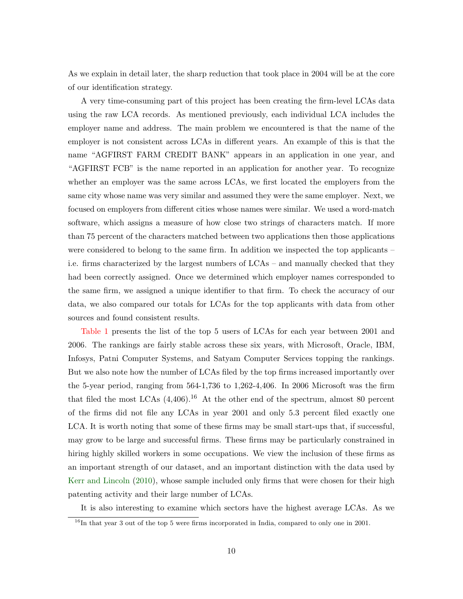As we explain in detail later, the sharp reduction that took place in 2004 will be at the core of our identification strategy.

A very time-consuming part of this project has been creating the firm-level LCAs data using the raw LCA records. As mentioned previously, each individual LCA includes the employer name and address. The main problem we encountered is that the name of the employer is not consistent across LCAs in different years. An example of this is that the name "AGFIRST FARM CREDIT BANK" appears in an application in one year, and "AGFIRST FCB" is the name reported in an application for another year. To recognize whether an employer was the same across LCAs, we first located the employers from the same city whose name was very similar and assumed they were the same employer. Next, we focused on employers from different cities whose names were similar. We used a word-match software, which assigns a measure of how close two strings of characters match. If more than 75 percent of the characters matched between two applications then those applications were considered to belong to the same firm. In addition we inspected the top applicants – i.e. firms characterized by the largest numbers of LCAs – and manually checked that they had been correctly assigned. Once we determined which employer names corresponded to the same firm, we assigned a unique identifier to that firm. To check the accuracy of our data, we also compared our totals for LCAs for the top applicants with data from other sources and found consistent results.

[Table 1](#page-33-0) presents the list of the top 5 users of LCAs for each year between 2001 and 2006. The rankings are fairly stable across these six years, with Microsoft, Oracle, IBM, Infosys, Patni Computer Systems, and Satyam Computer Services topping the rankings. But we also note how the number of LCAs filed by the top firms increased importantly over the 5-year period, ranging from 564-1,736 to 1,262-4,406. In 2006 Microsoft was the firm that filed the most LCAs  $(4,406)$ .<sup>16</sup> At the other end of the spectrum, almost 80 percent of the firms did not file any LCAs in year 2001 and only 5.3 percent filed exactly one LCA. It is worth noting that some of these firms may be small start-ups that, if successful, may grow to be large and successful firms. These firms may be particularly constrained in hiring highly skilled workers in some occupations. We view the inclusion of these firms as an important strength of our dataset, and an important distinction with the data used by [Kerr and Lincoln](#page-32-1) [\(2010\)](#page-32-1), whose sample included only firms that were chosen for their high patenting activity and their large number of LCAs.

It is also interesting to examine which sectors have the highest average LCAs. As we

 $16$ In that year 3 out of the top 5 were firms incorporated in India, compared to only one in 2001.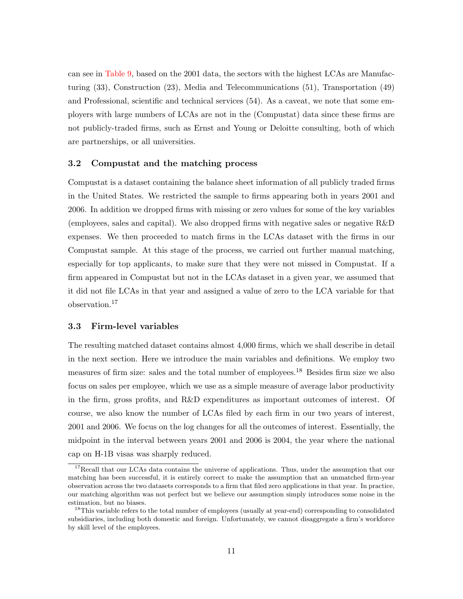can see in [Table 9,](#page-41-0) based on the 2001 data, the sectors with the highest LCAs are Manufacturing (33), Construction (23), Media and Telecommunications (51), Transportation (49) and Professional, scientific and technical services (54). As a caveat, we note that some employers with large numbers of LCAs are not in the (Compustat) data since these firms are not publicly-traded firms, such as Ernst and Young or Deloitte consulting, both of which are partnerships, or all universities.

#### 3.2 Compustat and the matching process

Compustat is a dataset containing the balance sheet information of all publicly traded firms in the United States. We restricted the sample to firms appearing both in years 2001 and 2006. In addition we dropped firms with missing or zero values for some of the key variables (employees, sales and capital). We also dropped firms with negative sales or negative R&D expenses. We then proceeded to match firms in the LCAs dataset with the firms in our Compustat sample. At this stage of the process, we carried out further manual matching, especially for top applicants, to make sure that they were not missed in Compustat. If a firm appeared in Compustat but not in the LCAs dataset in a given year, we assumed that it did not file LCAs in that year and assigned a value of zero to the LCA variable for that observation.<sup>17</sup>

#### 3.3 Firm-level variables

The resulting matched dataset contains almost 4,000 firms, which we shall describe in detail in the next section. Here we introduce the main variables and definitions. We employ two measures of firm size: sales and the total number of employees.<sup>18</sup> Besides firm size we also focus on sales per employee, which we use as a simple measure of average labor productivity in the firm, gross profits, and R&D expenditures as important outcomes of interest. Of course, we also know the number of LCAs filed by each firm in our two years of interest, 2001 and 2006. We focus on the log changes for all the outcomes of interest. Essentially, the midpoint in the interval between years 2001 and 2006 is 2004, the year where the national cap on H-1B visas was sharply reduced.

<sup>&</sup>lt;sup>17</sup>Recall that our LCAs data contains the universe of applications. Thus, under the assumption that our matching has been successful, it is entirely correct to make the assumption that an unmatched firm-year observation across the two datasets corresponds to a firm that filed zero applications in that year. In practice, our matching algorithm was not perfect but we believe our assumption simply introduces some noise in the estimation, but no biases.

<sup>&</sup>lt;sup>18</sup>This variable refers to the total number of employees (usually at year-end) corresponding to consolidated subsidiaries, including both domestic and foreign. Unfortunately, we cannot disaggregate a firm's workforce by skill level of the employees.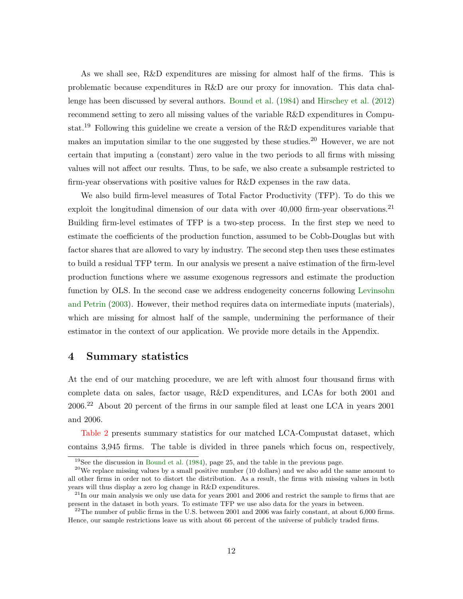As we shall see, R&D expenditures are missing for almost half of the firms. This is problematic because expenditures in R&D are our proxy for innovation. This data challenge has been discussed by several authors. [Bound et al.](#page-31-11) [\(1984\)](#page-31-11) and [Hirschey et al.](#page-31-12) [\(2012\)](#page-31-12) recommend setting to zero all missing values of the variable R&D expenditures in Compustat.<sup>19</sup> Following this guideline we create a version of the R&D expenditures variable that makes an imputation similar to the one suggested by these studies.<sup>20</sup> However, we are not certain that imputing a (constant) zero value in the two periods to all firms with missing values will not affect our results. Thus, to be safe, we also create a subsample restricted to firm-year observations with positive values for R&D expenses in the raw data.

We also build firm-level measures of Total Factor Productivity (TFP). To do this we exploit the longitudinal dimension of our data with over  $40,000$  firm-year observations.<sup>21</sup> Building firm-level estimates of TFP is a two-step process. In the first step we need to estimate the coefficients of the production function, assumed to be Cobb-Douglas but with factor shares that are allowed to vary by industry. The second step then uses these estimates to build a residual TFP term. In our analysis we present a naive estimation of the firm-level production functions where we assume exogenous regressors and estimate the production function by OLS. In the second case we address endogeneity concerns following [Levinsohn](#page-32-16) [and Petrin](#page-32-16) [\(2003\)](#page-32-16). However, their method requires data on intermediate inputs (materials), which are missing for almost half of the sample, undermining the performance of their estimator in the context of our application. We provide more details in the Appendix.

### <span id="page-14-0"></span>4 Summary statistics

At the end of our matching procedure, we are left with almost four thousand firms with complete data on sales, factor usage, R&D expenditures, and LCAs for both 2001 and 2006.<sup>22</sup> About 20 percent of the firms in our sample filed at least one LCA in years 2001 and 2006.

[Table 2](#page-34-0) presents summary statistics for our matched LCA-Compustat dataset, which contains 3,945 firms. The table is divided in three panels which focus on, respectively,

 $19$ See the discussion in [Bound et al.](#page-31-11) [\(1984\)](#page-31-11), page 25, and the table in the previous page.

 $20$ We replace missing values by a small positive number (10 dollars) and we also add the same amount to all other firms in order not to distort the distribution. As a result, the firms with missing values in both years will thus display a zero log change in R&D expenditures.

<sup>&</sup>lt;sup>21</sup>In our main analysis we only use data for years 2001 and 2006 and restrict the sample to firms that are present in the dataset in both years. To estimate TFP we use also data for the years in between.

 $^{22}$ The number of public firms in the U.S. between 2001 and 2006 was fairly constant, at about 6,000 firms. Hence, our sample restrictions leave us with about 66 percent of the universe of publicly traded firms.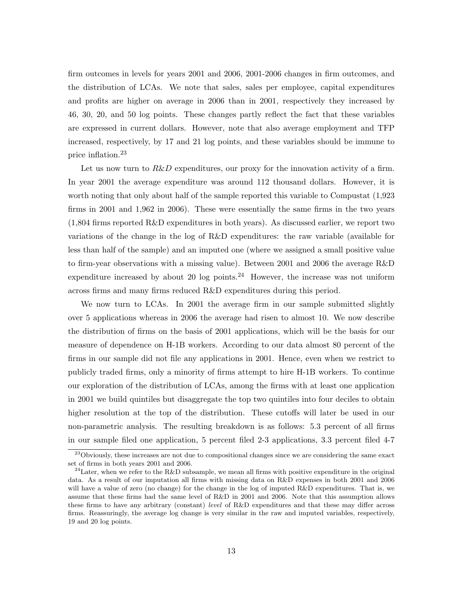firm outcomes in levels for years 2001 and 2006, 2001-2006 changes in firm outcomes, and the distribution of LCAs. We note that sales, sales per employee, capital expenditures and profits are higher on average in 2006 than in 2001, respectively they increased by 46, 30, 20, and 50 log points. These changes partly reflect the fact that these variables are expressed in current dollars. However, note that also average employment and TFP increased, respectively, by 17 and 21 log points, and these variables should be immune to price inflation.<sup>23</sup>

Let us now turn to  $R\&D$  expenditures, our proxy for the innovation activity of a firm. In year 2001 the average expenditure was around 112 thousand dollars. However, it is worth noting that only about half of the sample reported this variable to Compustat (1,923 firms in 2001 and 1,962 in 2006). These were essentially the same firms in the two years (1,804 firms reported R&D expenditures in both years). As discussed earlier, we report two variations of the change in the log of R&D expenditures: the raw variable (available for less than half of the sample) and an imputed one (where we assigned a small positive value to firm-year observations with a missing value). Between 2001 and 2006 the average R&D expenditure increased by about 20 log points.<sup>24</sup> However, the increase was not uniform across firms and many firms reduced R&D expenditures during this period.

We now turn to LCAs. In 2001 the average firm in our sample submitted slightly over 5 applications whereas in 2006 the average had risen to almost 10. We now describe the distribution of firms on the basis of 2001 applications, which will be the basis for our measure of dependence on H-1B workers. According to our data almost 80 percent of the firms in our sample did not file any applications in 2001. Hence, even when we restrict to publicly traded firms, only a minority of firms attempt to hire H-1B workers. To continue our exploration of the distribution of LCAs, among the firms with at least one application in 2001 we build quintiles but disaggregate the top two quintiles into four deciles to obtain higher resolution at the top of the distribution. These cutoffs will later be used in our non-parametric analysis. The resulting breakdown is as follows: 5.3 percent of all firms in our sample filed one application, 5 percent filed 2-3 applications, 3.3 percent filed 4-7

<sup>&</sup>lt;sup>23</sup>Obviously, these increases are not due to compositional changes since we are considering the same exact set of firms in both years 2001 and 2006.

<sup>&</sup>lt;sup>24</sup>Later, when we refer to the R&D subsample, we mean all firms with positive expenditure in the original data. As a result of our imputation all firms with missing data on R&D expenses in both 2001 and 2006 will have a value of zero (no change) for the change in the log of imputed R&D expenditures. That is, we assume that these firms had the same level of R&D in 2001 and 2006. Note that this assumption allows these firms to have any arbitrary (constant) level of R&D expenditures and that these may differ across firms. Reassuringly, the average log change is very similar in the raw and imputed variables, respectively, 19 and 20 log points.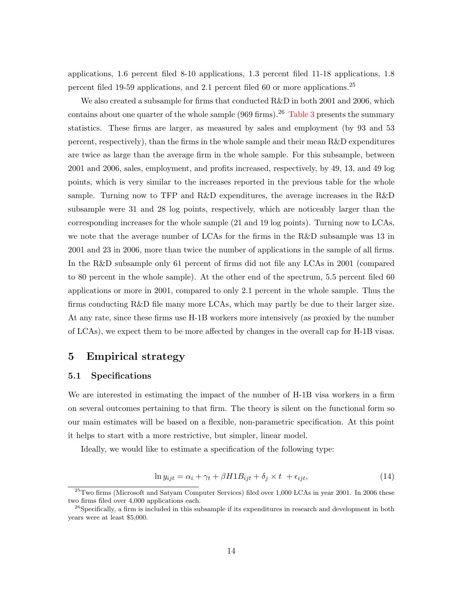applications, 1.6 percent filed 8-10 applications, 1.3 percent filed 11-18 applications, 1.8 percent filed 19-59 applications, and 2.1 percent filed 60 or more applications.<sup>25</sup>

We also created a subsample for firms that conducted R&D in both 2001 and 2006, which contains about one quarter of the whole sample  $(969 \text{ firms})$ .<sup>26</sup> [Table 3](#page-35-0) presents the summary statistics. These firms are larger, as measured by sales and employment (by 93 and 53 percent, respectively), than the firms in the whole sample and their mean R&D expenditures are twice as large than the average firm in the whole sample. For this subsample, between 2001 and 2006, sales, employment, and profits increased, respectively, by 49, 13, and 49 log points, which is very similar to the increases reported in the previous table for the whole sample. Turning now to TFP and R&D expenditures, the average increases in the R&D subsample were 31 and 28 log points, respectively, which are noticeably larger than the corresponding increases for the whole sample (21 and 19 log points). Turning now to LCAs, we note that the average number of LCAs for the firms in the R&D subsample was 13 in 2001 and 23 in 2006, more than twice the number of applications in the sample of all firms. In the R&D subsample only 61 percent of firms did not file any LCAs in 2001 (compared to 80 percent in the whole sample). At the other end of the spectrum, 5.5 percent filed 60 applications or more in 2001, compared to only 2.1 percent in the whole sample. Thus the firms conducting R&D file many more LCAs, which may partly be due to their larger size. At any rate, since these firms use H-1B workers more intensively (as proxied by the number of LCAs), we expect them to be more affected by changes in the overall cap for H-1B visas.

### <span id="page-16-0"></span>5 Empirical strategy

#### 5.1 Specifications

We are interested in estimating the impact of the number of H-1B visa workers in a firm on several outcomes pertaining to that firm. The theory is silent on the functional form so our main estimates will be based on a flexible, non-parametric specification. At this point it helps to start with a more restrictive, but simpler, linear model.

Ideally, we would like to estimate a specification of the following type:

$$
\ln y_{ijt} = \alpha_i + \gamma_t + \beta H1B_{ijt} + \delta_j \times t + \epsilon_{ijt},\tag{14}
$$

 $^{25}$ Two firms (Microsoft and Satyam Computer Services) filed over 1,000 LCAs in year 2001. In 2006 these two firms filed over 4,000 applications each.

<sup>&</sup>lt;sup>26</sup>Specifically, a firm is included in this subsample if its expenditures in research and development in both years were at least \$5,000.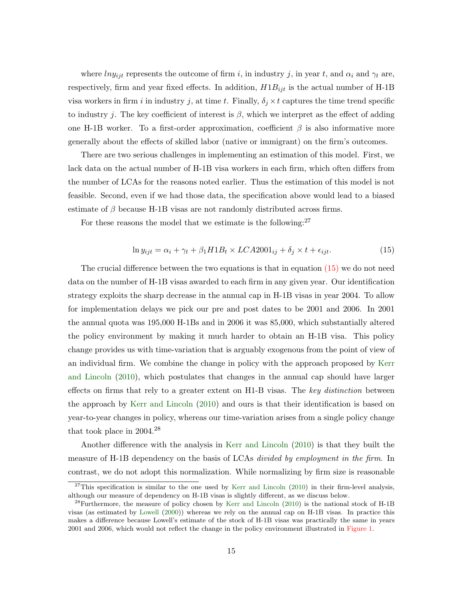where  $ln y_{ijt}$  represents the outcome of firm i, in industry j, in year t, and  $\alpha_i$  and  $\gamma_t$  are, respectively, firm and year fixed effects. In addition,  $H1B_{ijt}$  is the actual number of H-1B visa workers in firm i in industry j, at time t. Finally,  $\delta_j \times t$  captures the time trend specific to industry j. The key coefficient of interest is  $\beta$ , which we interpret as the effect of adding one H-1B worker. To a first-order approximation, coefficient  $\beta$  is also informative more generally about the effects of skilled labor (native or immigrant) on the firm's outcomes.

There are two serious challenges in implementing an estimation of this model. First, we lack data on the actual number of H-1B visa workers in each firm, which often differs from the number of LCAs for the reasons noted earlier. Thus the estimation of this model is not feasible. Second, even if we had those data, the specification above would lead to a biased estimate of  $\beta$  because H-1B visas are not randomly distributed across firms.

For these reasons the model that we estimate is the following: $27$ 

<span id="page-17-0"></span>
$$
\ln y_{ijt} = \alpha_i + \gamma_t + \beta_1 H1B_t \times LCA2001_{ij} + \delta_j \times t + \epsilon_{ijt}.
$$
\n(15)

The crucial difference between the two equations is that in equation  $(15)$  we do not need data on the number of H-1B visas awarded to each firm in any given year. Our identification strategy exploits the sharp decrease in the annual cap in H-1B visas in year 2004. To allow for implementation delays we pick our pre and post dates to be 2001 and 2006. In 2001 the annual quota was 195,000 H-1Bs and in 2006 it was 85,000, which substantially altered the policy environment by making it much harder to obtain an H-1B visa. This policy change provides us with time-variation that is arguably exogenous from the point of view of an individual firm. We combine the change in policy with the approach proposed by [Kerr](#page-32-1) [and Lincoln](#page-32-1) [\(2010\)](#page-32-1), which postulates that changes in the annual cap should have larger effects on firms that rely to a greater extent on H<sub>1</sub>-B visas. The key distinction between the approach by [Kerr and Lincoln](#page-32-1) [\(2010\)](#page-32-1) and ours is that their identification is based on year-to-year changes in policy, whereas our time-variation arises from a single policy change that took place in 2004.<sup>28</sup>

Another difference with the analysis in [Kerr and Lincoln](#page-32-1) [\(2010\)](#page-32-1) is that they built the measure of H-1B dependency on the basis of LCAs *divided by employment in the firm*. In contrast, we do not adopt this normalization. While normalizing by firm size is reasonable

 $27$ This specification is similar to the one used by [Kerr and Lincoln](#page-32-1) [\(2010\)](#page-32-1) in their firm-level analysis, although our measure of dependency on H-1B visas is slightly different, as we discuss below.

 $^{28}$ Furthermore, the measure of policy chosen by [Kerr and Lincoln](#page-32-1) [\(2010\)](#page-32-1) is the national stock of H-1B visas (as estimated by [Lowell](#page-32-4) [\(2000\)](#page-32-4)) whereas we rely on the annual cap on H-1B visas. In practice this makes a difference because Lowell's estimate of the stock of H-1B visas was practically the same in years 2001 and 2006, which would not reflect the change in the policy environment illustrated in [Figure 1.](#page-44-0)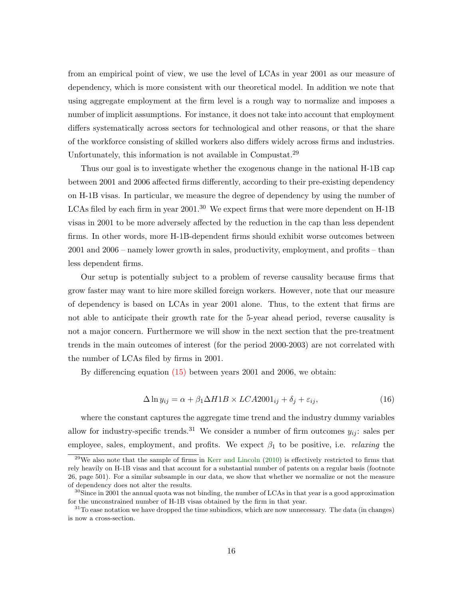from an empirical point of view, we use the level of LCAs in year 2001 as our measure of dependency, which is more consistent with our theoretical model. In addition we note that using aggregate employment at the firm level is a rough way to normalize and imposes a number of implicit assumptions. For instance, it does not take into account that employment differs systematically across sectors for technological and other reasons, or that the share of the workforce consisting of skilled workers also differs widely across firms and industries. Unfortunately, this information is not available in Compustat.<sup>29</sup>

Thus our goal is to investigate whether the exogenous change in the national H-1B cap between 2001 and 2006 affected firms differently, according to their pre-existing dependency on H-1B visas. In particular, we measure the degree of dependency by using the number of LCAs filed by each firm in year  $2001<sup>30</sup>$  We expect firms that were more dependent on H-1B visas in 2001 to be more adversely affected by the reduction in the cap than less dependent firms. In other words, more H-1B-dependent firms should exhibit worse outcomes between 2001 and 2006 – namely lower growth in sales, productivity, employment, and profits – than less dependent firms.

Our setup is potentially subject to a problem of reverse causality because firms that grow faster may want to hire more skilled foreign workers. However, note that our measure of dependency is based on LCAs in year 2001 alone. Thus, to the extent that firms are not able to anticipate their growth rate for the 5-year ahead period, reverse causality is not a major concern. Furthermore we will show in the next section that the pre-treatment trends in the main outcomes of interest (for the period 2000-2003) are not correlated with the number of LCAs filed by firms in 2001.

By differencing equation [\(15\)](#page-17-0) between years 2001 and 2006, we obtain:

<span id="page-18-0"></span>
$$
\Delta \ln y_{ij} = \alpha + \beta_1 \Delta H1B \times LCA2001_{ij} + \delta_j + \varepsilon_{ij},\tag{16}
$$

where the constant captures the aggregate time trend and the industry dummy variables allow for industry-specific trends.<sup>31</sup> We consider a number of firm outcomes  $y_{ij}$ : sales per employee, sales, employment, and profits. We expect  $\beta_1$  to be positive, i.e. *relaxing* the

 $^{29}$ We also note that the sample of firms in [Kerr and Lincoln](#page-32-1) [\(2010\)](#page-32-1) is effectively restricted to firms that rely heavily on H-1B visas and that account for a substantial number of patents on a regular basis (footnote 26, page 501). For a similar subsample in our data, we show that whether we normalize or not the measure of dependency does not alter the results.

 $30\text{S}$ ince in 2001 the annual quota was not binding, the number of LCAs in that year is a good approximation for the unconstrained number of H-1B visas obtained by the firm in that year.

<sup>&</sup>lt;sup>31</sup>To ease notation we have dropped the time subindices, which are now unnecessary. The data (in changes) is now a cross-section.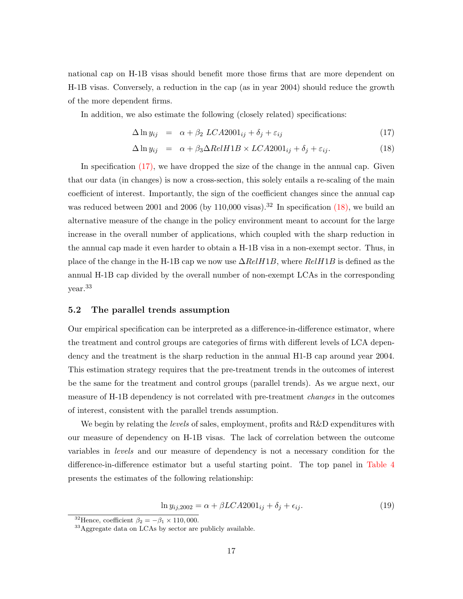national cap on H-1B visas should benefit more those firms that are more dependent on H-1B visas. Conversely, a reduction in the cap (as in year 2004) should reduce the growth of the more dependent firms.

In addition, we also estimate the following (closely related) specifications:

<span id="page-19-0"></span>
$$
\Delta \ln y_{ij} = \alpha + \beta_2 LCA2001_{ij} + \delta_j + \varepsilon_{ij}
$$
\n(17)

$$
\Delta \ln y_{ij} = \alpha + \beta_3 \Delta RelH1B \times LCA2001_{ij} + \delta_j + \varepsilon_{ij}.
$$
\n(18)

In specification  $(17)$ , we have dropped the size of the change in the annual cap. Given that our data (in changes) is now a cross-section, this solely entails a re-scaling of the main coefficient of interest. Importantly, the sign of the coefficient changes since the annual cap was reduced between 2001 and 2006 (by 110,000 visas).<sup>32</sup> In specification  $(18)$ , we build an alternative measure of the change in the policy environment meant to account for the large increase in the overall number of applications, which coupled with the sharp reduction in the annual cap made it even harder to obtain a H-1B visa in a non-exempt sector. Thus, in place of the change in the H-1B cap we now use  $\Delta RelH1B$ , where  $RelH1B$  is defined as the annual H-1B cap divided by the overall number of non-exempt LCAs in the corresponding year.<sup>33</sup>

#### 5.2 The parallel trends assumption

Our empirical specification can be interpreted as a difference-in-difference estimator, where the treatment and control groups are categories of firms with different levels of LCA dependency and the treatment is the sharp reduction in the annual H1-B cap around year 2004. This estimation strategy requires that the pre-treatment trends in the outcomes of interest be the same for the treatment and control groups (parallel trends). As we argue next, our measure of H-1B dependency is not correlated with pre-treatment *changes* in the outcomes of interest, consistent with the parallel trends assumption.

We begin by relating the *levels* of sales, employment, profits and R&D expenditures with our measure of dependency on H-1B visas. The lack of correlation between the outcome variables in levels and our measure of dependency is not a necessary condition for the difference-in-difference estimator but a useful starting point. The top panel in [Table 4](#page-36-0) presents the estimates of the following relationship:

$$
\ln y_{ij,2002} = \alpha + \beta LCA2001_{ij} + \delta_j + \epsilon_{ij}.
$$
\n(19)

<sup>&</sup>lt;sup>32</sup>Hence, coefficient  $\beta_2 = -\beta_1 \times 110,000$ .

<sup>33</sup>Aggregate data on LCAs by sector are publicly available.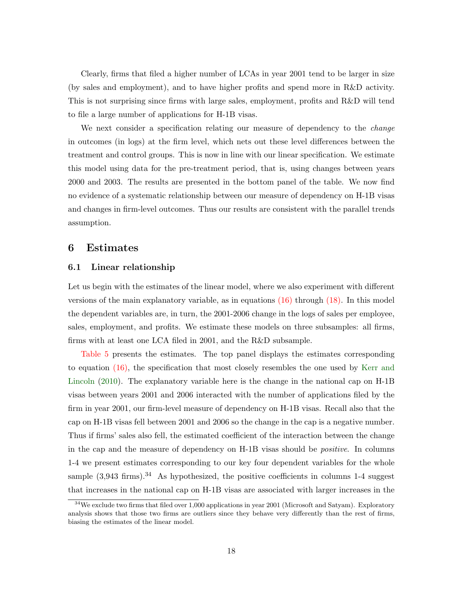Clearly, firms that filed a higher number of LCAs in year 2001 tend to be larger in size (by sales and employment), and to have higher profits and spend more in R&D activity. This is not surprising since firms with large sales, employment, profits and R&D will tend to file a large number of applications for H-1B visas.

We next consider a specification relating our measure of dependency to the *change* in outcomes (in logs) at the firm level, which nets out these level differences between the treatment and control groups. This is now in line with our linear specification. We estimate this model using data for the pre-treatment period, that is, using changes between years 2000 and 2003. The results are presented in the bottom panel of the table. We now find no evidence of a systematic relationship between our measure of dependency on H-1B visas and changes in firm-level outcomes. Thus our results are consistent with the parallel trends assumption.

### <span id="page-20-0"></span>6 Estimates

#### 6.1 Linear relationship

Let us begin with the estimates of the linear model, where we also experiment with different versions of the main explanatory variable, as in equations  $(16)$  through  $(18)$ . In this model the dependent variables are, in turn, the 2001-2006 change in the logs of sales per employee, sales, employment, and profits. We estimate these models on three subsamples: all firms, firms with at least one LCA filed in 2001, and the R&D subsample.

[Table 5](#page-37-0) presents the estimates. The top panel displays the estimates corresponding to equation [\(16\),](#page-18-0) the specification that most closely resembles the one used by [Kerr and](#page-32-1) [Lincoln](#page-32-1) [\(2010\)](#page-32-1). The explanatory variable here is the change in the national cap on H-1B visas between years 2001 and 2006 interacted with the number of applications filed by the firm in year 2001, our firm-level measure of dependency on H-1B visas. Recall also that the cap on H-1B visas fell between 2001 and 2006 so the change in the cap is a negative number. Thus if firms' sales also fell, the estimated coefficient of the interaction between the change in the cap and the measure of dependency on H-1B visas should be positive. In columns 1-4 we present estimates corresponding to our key four dependent variables for the whole sample  $(3,943 \text{ firms})$ .<sup>34</sup> As hypothesized, the positive coefficients in columns 1-4 suggest that increases in the national cap on H-1B visas are associated with larger increases in the

 $34$ We exclude two firms that filed over 1,000 applications in year 2001 (Microsoft and Satyam). Exploratory analysis shows that those two firms are outliers since they behave very differently than the rest of firms, biasing the estimates of the linear model.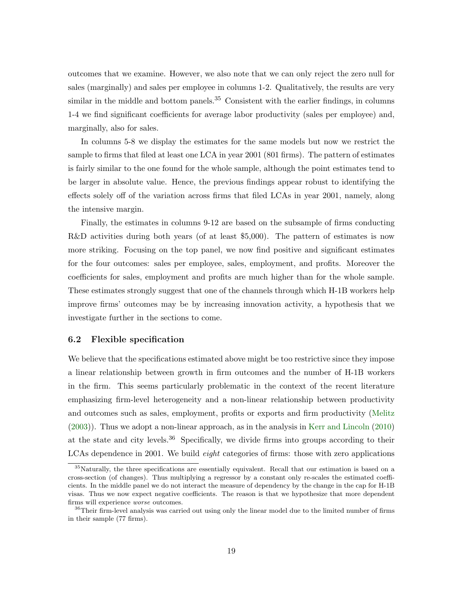outcomes that we examine. However, we also note that we can only reject the zero null for sales (marginally) and sales per employee in columns 1-2. Qualitatively, the results are very similar in the middle and bottom panels.<sup>35</sup> Consistent with the earlier findings, in columns 1-4 we find significant coefficients for average labor productivity (sales per employee) and, marginally, also for sales.

In columns 5-8 we display the estimates for the same models but now we restrict the sample to firms that filed at least one LCA in year 2001 (801 firms). The pattern of estimates is fairly similar to the one found for the whole sample, although the point estimates tend to be larger in absolute value. Hence, the previous findings appear robust to identifying the effects solely off of the variation across firms that filed LCAs in year 2001, namely, along the intensive margin.

Finally, the estimates in columns 9-12 are based on the subsample of firms conducting R&D activities during both years (of at least \$5,000). The pattern of estimates is now more striking. Focusing on the top panel, we now find positive and significant estimates for the four outcomes: sales per employee, sales, employment, and profits. Moreover the coefficients for sales, employment and profits are much higher than for the whole sample. These estimates strongly suggest that one of the channels through which H-1B workers help improve firms' outcomes may be by increasing innovation activity, a hypothesis that we investigate further in the sections to come.

#### 6.2 Flexible specification

We believe that the specifications estimated above might be too restrictive since they impose a linear relationship between growth in firm outcomes and the number of H-1B workers in the firm. This seems particularly problematic in the context of the recent literature emphasizing firm-level heterogeneity and a non-linear relationship between productivity and outcomes such as sales, employment, profits or exports and firm productivity [\(Melitz](#page-32-5) [\(2003\)](#page-32-5)). Thus we adopt a non-linear approach, as in the analysis in [Kerr and Lincoln](#page-32-1) [\(2010\)](#page-32-1) at the state and city levels.<sup>36</sup> Specifically, we divide firms into groups according to their LCAs dependence in 2001. We build *eight* categories of firms: those with zero applications

<sup>&</sup>lt;sup>35</sup>Naturally, the three specifications are essentially equivalent. Recall that our estimation is based on a cross-section (of changes). Thus multiplying a regressor by a constant only re-scales the estimated coefficients. In the middle panel we do not interact the measure of dependency by the change in the cap for H-1B visas. Thus we now expect negative coefficients. The reason is that we hypothesize that more dependent firms will experience worse outcomes.

<sup>&</sup>lt;sup>36</sup>Their firm-level analysis was carried out using only the linear model due to the limited number of firms in their sample (77 firms).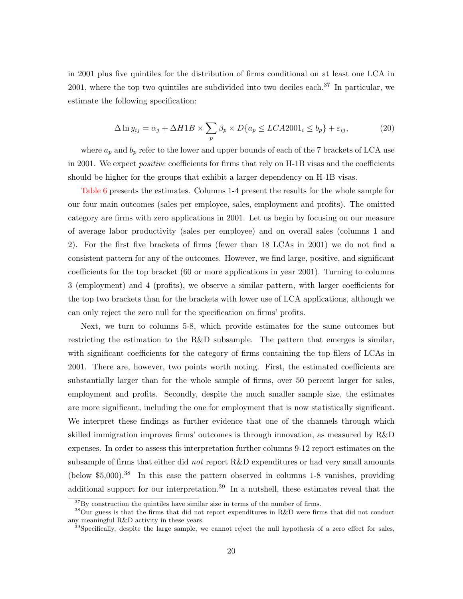in 2001 plus five quintiles for the distribution of firms conditional on at least one LCA in 2001, where the top two quintiles are subdivided into two deciles each.<sup>37</sup> In particular, we estimate the following specification:

$$
\Delta \ln y_{ij} = \alpha_j + \Delta H1B \times \sum_p \beta_p \times D\{a_p \le LCA2001_i \le b_p\} + \varepsilon_{ij},\tag{20}
$$

where  $a_p$  and  $b_p$  refer to the lower and upper bounds of each of the 7 brackets of LCA use in 2001. We expect *positive* coefficients for firms that rely on H-1B visas and the coefficients should be higher for the groups that exhibit a larger dependency on H-1B visas.

[Table 6](#page-38-0) presents the estimates. Columns 1-4 present the results for the whole sample for our four main outcomes (sales per employee, sales, employment and profits). The omitted category are firms with zero applications in 2001. Let us begin by focusing on our measure of average labor productivity (sales per employee) and on overall sales (columns 1 and 2). For the first five brackets of firms (fewer than 18 LCAs in 2001) we do not find a consistent pattern for any of the outcomes. However, we find large, positive, and significant coefficients for the top bracket (60 or more applications in year 2001). Turning to columns 3 (employment) and 4 (profits), we observe a similar pattern, with larger coefficients for the top two brackets than for the brackets with lower use of LCA applications, although we can only reject the zero null for the specification on firms' profits.

Next, we turn to columns 5-8, which provide estimates for the same outcomes but restricting the estimation to the R&D subsample. The pattern that emerges is similar, with significant coefficients for the category of firms containing the top filers of LCAs in 2001. There are, however, two points worth noting. First, the estimated coefficients are substantially larger than for the whole sample of firms, over 50 percent larger for sales, employment and profits. Secondly, despite the much smaller sample size, the estimates are more significant, including the one for employment that is now statistically significant. We interpret these findings as further evidence that one of the channels through which skilled immigration improves firms' outcomes is through innovation, as measured by R&D expenses. In order to assess this interpretation further columns 9-12 report estimates on the subsample of firms that either did not report  $R&D$  expenditures or had very small amounts (below  $$5,000$ )<sup>38</sup> In this case the pattern observed in columns 1-8 vanishes, providing additional support for our interpretation.<sup>39</sup> In a nutshell, these estimates reveal that the

 $37\,\text{By construction the quintiles have similar size in terms of the number of firms.}$ 

<sup>&</sup>lt;sup>38</sup>Our guess is that the firms that did not report expenditures in R&D were firms that did not conduct any meaningful R&D activity in these years.

<sup>&</sup>lt;sup>39</sup>Specifically, despite the large sample, we cannot reject the null hypothesis of a zero effect for sales,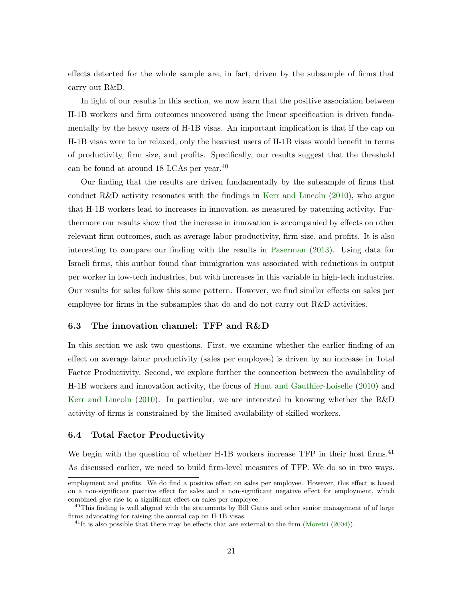effects detected for the whole sample are, in fact, driven by the subsample of firms that carry out R&D.

In light of our results in this section, we now learn that the positive association between H-1B workers and firm outcomes uncovered using the linear specification is driven fundamentally by the heavy users of H-1B visas. An important implication is that if the cap on H-1B visas were to be relaxed, only the heaviest users of H-1B visas would benefit in terms of productivity, firm size, and profits. Specifically, our results suggest that the threshold can be found at around 18 LCAs per year.<sup>40</sup>

Our finding that the results are driven fundamentally by the subsample of firms that conduct R&D activity resonates with the findings in [Kerr and Lincoln](#page-32-1) [\(2010\)](#page-32-1), who argue that H-1B workers lead to increases in innovation, as measured by patenting activity. Furthermore our results show that the increase in innovation is accompanied by effects on other relevant firm outcomes, such as average labor productivity, firm size, and profits. It is also interesting to compare our finding with the results in [Paserman](#page-32-12) [\(2013\)](#page-32-12). Using data for Israeli firms, this author found that immigration was associated with reductions in output per worker in low-tech industries, but with increases in this variable in high-tech industries. Our results for sales follow this same pattern. However, we find similar effects on sales per employee for firms in the subsamples that do and do not carry out R&D activities.

#### 6.3 The innovation channel: TFP and R&D

In this section we ask two questions. First, we examine whether the earlier finding of an effect on average labor productivity (sales per employee) is driven by an increase in Total Factor Productivity. Second, we explore further the connection between the availability of H-1B workers and innovation activity, the focus of [Hunt and Gauthier-Loiselle](#page-31-0) [\(2010\)](#page-31-0) and [Kerr and Lincoln](#page-32-1) [\(2010\)](#page-32-1). In particular, we are interested in knowing whether the R&D activity of firms is constrained by the limited availability of skilled workers.

#### 6.4 Total Factor Productivity

We begin with the question of whether H-1B workers increase TFP in their host firms.<sup>41</sup> As discussed earlier, we need to build firm-level measures of TFP. We do so in two ways.

employment and profits. We do find a positive effect on sales per employee. However, this effect is based on a non-significant positive effect for sales and a non-significant negative effect for employment, which combined give rise to a significant effect on sales per employee.

 $^{40}$ This finding is well aligned with the statements by Bill Gates and other senior management of of large firms advocating for raising the annual cap on H-1B visas.

 $^{41}$ It is also possible that there may be effects that are external to the firm [\(Moretti](#page-32-11) [\(2004\)](#page-32-11)).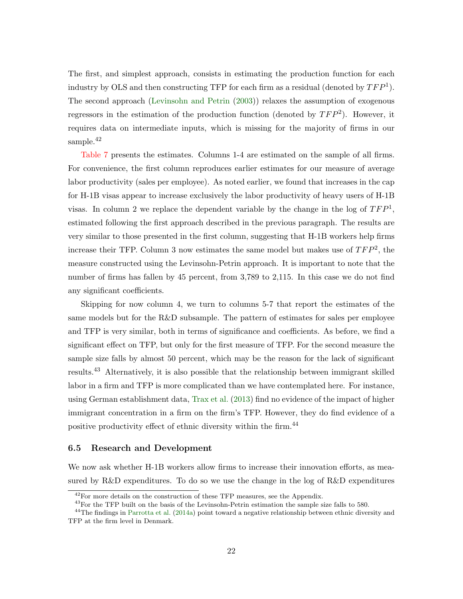The first, and simplest approach, consists in estimating the production function for each industry by OLS and then constructing TFP for each firm as a residual (denoted by  $TFP<sup>1</sup>$ ). The second approach [\(Levinsohn and Petrin](#page-32-16) [\(2003\)](#page-32-16)) relaxes the assumption of exogenous regressors in the estimation of the production function (denoted by  $TFP^2$ ). However, it requires data on intermediate inputs, which is missing for the majority of firms in our sample.<sup>42</sup>

[Table 7](#page-39-0) presents the estimates. Columns 1-4 are estimated on the sample of all firms. For convenience, the first column reproduces earlier estimates for our measure of average labor productivity (sales per employee). As noted earlier, we found that increases in the cap for H-1B visas appear to increase exclusively the labor productivity of heavy users of H-1B visas. In column 2 we replace the dependent variable by the change in the log of  $TFP<sup>1</sup>$ , estimated following the first approach described in the previous paragraph. The results are very similar to those presented in the first column, suggesting that H-1B workers help firms increase their TFP. Column 3 now estimates the same model but makes use of  $TFP^2$ , the measure constructed using the Levinsohn-Petrin approach. It is important to note that the number of firms has fallen by 45 percent, from 3,789 to 2,115. In this case we do not find any significant coefficients.

Skipping for now column 4, we turn to columns 5-7 that report the estimates of the same models but for the R&D subsample. The pattern of estimates for sales per employee and TFP is very similar, both in terms of significance and coefficients. As before, we find a significant effect on TFP, but only for the first measure of TFP. For the second measure the sample size falls by almost 50 percent, which may be the reason for the lack of significant results.<sup>43</sup> Alternatively, it is also possible that the relationship between immigrant skilled labor in a firm and TFP is more complicated than we have contemplated here. For instance, using German establishment data, [Trax et al.](#page-32-15) [\(2013\)](#page-32-15) find no evidence of the impact of higher immigrant concentration in a firm on the firm's TFP. However, they do find evidence of a positive productivity effect of ethnic diversity within the firm.<sup>44</sup>

#### 6.5 Research and Development

We now ask whether H-1B workers allow firms to increase their innovation efforts, as measured by R&D expenditures. To do so we use the change in the log of R&D expenditures

 $^{42}\rm{For}$  more details on the construction of these TFP measures, see the Appendix.

<sup>43</sup>For the TFP built on the basis of the Levinsohn-Petrin estimation the sample size falls to 580.

<sup>&</sup>lt;sup>44</sup>The findings in [Parrotta et al.](#page-32-13) [\(2014a\)](#page-32-13) point toward a negative relationship between ethnic diversity and TFP at the firm level in Denmark.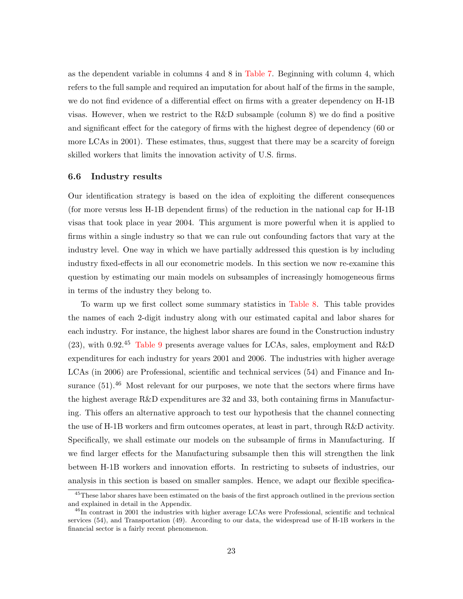as the dependent variable in columns 4 and 8 in [Table 7.](#page-39-0) Beginning with column 4, which refers to the full sample and required an imputation for about half of the firms in the sample, we do not find evidence of a differential effect on firms with a greater dependency on H-1B visas. However, when we restrict to the R&D subsample (column 8) we do find a positive and significant effect for the category of firms with the highest degree of dependency (60 or more LCAs in 2001). These estimates, thus, suggest that there may be a scarcity of foreign skilled workers that limits the innovation activity of U.S. firms.

#### 6.6 Industry results

Our identification strategy is based on the idea of exploiting the different consequences (for more versus less H-1B dependent firms) of the reduction in the national cap for H-1B visas that took place in year 2004. This argument is more powerful when it is applied to firms within a single industry so that we can rule out confounding factors that vary at the industry level. One way in which we have partially addressed this question is by including industry fixed-effects in all our econometric models. In this section we now re-examine this question by estimating our main models on subsamples of increasingly homogeneous firms in terms of the industry they belong to.

To warm up we first collect some summary statistics in [Table 8.](#page-40-0) This table provides the names of each 2-digit industry along with our estimated capital and labor shares for each industry. For instance, the highest labor shares are found in the Construction industry  $(23)$ , with 0.92.<sup>45</sup> [Table 9](#page-41-0) presents average values for LCAs, sales, employment and R&D expenditures for each industry for years 2001 and 2006. The industries with higher average LCAs (in 2006) are Professional, scientific and technical services (54) and Finance and Insurance  $(51)$ .<sup>46</sup> Most relevant for our purposes, we note that the sectors where firms have the highest average R&D expenditures are 32 and 33, both containing firms in Manufacturing. This offers an alternative approach to test our hypothesis that the channel connecting the use of H-1B workers and firm outcomes operates, at least in part, through R&D activity. Specifically, we shall estimate our models on the subsample of firms in Manufacturing. If we find larger effects for the Manufacturing subsample then this will strengthen the link between H-1B workers and innovation efforts. In restricting to subsets of industries, our analysis in this section is based on smaller samples. Hence, we adapt our flexible specifica-

<sup>45</sup>These labor shares have been estimated on the basis of the first approach outlined in the previous section and explained in detail in the Appendix.

<sup>&</sup>lt;sup>46</sup>In contrast in 2001 the industries with higher average LCAs were Professional, scientific and technical services (54), and Transportation (49). According to our data, the widespread use of H-1B workers in the financial sector is a fairly recent phenomenon.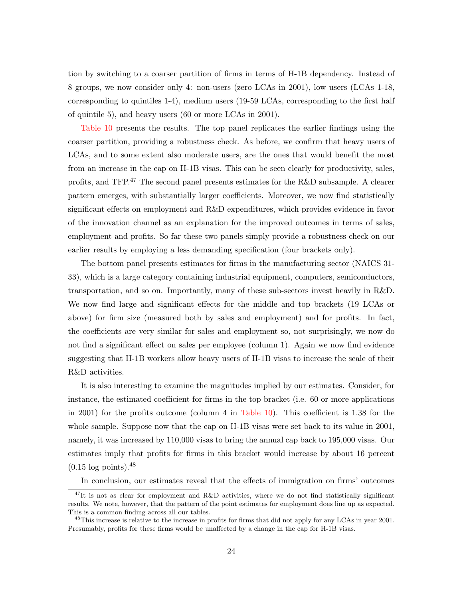tion by switching to a coarser partition of firms in terms of H-1B dependency. Instead of 8 groups, we now consider only 4: non-users (zero LCAs in 2001), low users (LCAs 1-18, corresponding to quintiles 1-4), medium users (19-59 LCAs, corresponding to the first half of quintile 5), and heavy users (60 or more LCAs in 2001).

[Table 10](#page-42-0) presents the results. The top panel replicates the earlier findings using the coarser partition, providing a robustness check. As before, we confirm that heavy users of LCAs, and to some extent also moderate users, are the ones that would benefit the most from an increase in the cap on H-1B visas. This can be seen clearly for productivity, sales, profits, and TFP.<sup>47</sup> The second panel presents estimates for the R&D subsample. A clearer pattern emerges, with substantially larger coefficients. Moreover, we now find statistically significant effects on employment and R&D expenditures, which provides evidence in favor of the innovation channel as an explanation for the improved outcomes in terms of sales, employment and profits. So far these two panels simply provide a robustness check on our earlier results by employing a less demanding specification (four brackets only).

The bottom panel presents estimates for firms in the manufacturing sector (NAICS 31- 33), which is a large category containing industrial equipment, computers, semiconductors, transportation, and so on. Importantly, many of these sub-sectors invest heavily in R&D. We now find large and significant effects for the middle and top brackets (19 LCAs or above) for firm size (measured both by sales and employment) and for profits. In fact, the coefficients are very similar for sales and employment so, not surprisingly, we now do not find a significant effect on sales per employee (column 1). Again we now find evidence suggesting that H-1B workers allow heavy users of H-1B visas to increase the scale of their R&D activities.

It is also interesting to examine the magnitudes implied by our estimates. Consider, for instance, the estimated coefficient for firms in the top bracket (i.e. 60 or more applications in 2001) for the profits outcome (column 4 in [Table 10\)](#page-42-0). This coefficient is 1.38 for the whole sample. Suppose now that the cap on H-1B visas were set back to its value in 2001, namely, it was increased by 110,000 visas to bring the annual cap back to 195,000 visas. Our estimates imply that profits for firms in this bracket would increase by about 16 percent  $(0.15 \log \text{points})$ .<sup>48</sup>

In conclusion, our estimates reveal that the effects of immigration on firms' outcomes

<sup>&</sup>lt;sup>47</sup>It is not as clear for employment and R&D activities, where we do not find statistically significant results. We note, however, that the pattern of the point estimates for employment does line up as expected. This is a common finding across all our tables.

<sup>&</sup>lt;sup>48</sup>This increase is relative to the increase in profits for firms that did not apply for any LCAs in year 2001. Presumably, profits for these firms would be unaffected by a change in the cap for H-1B visas.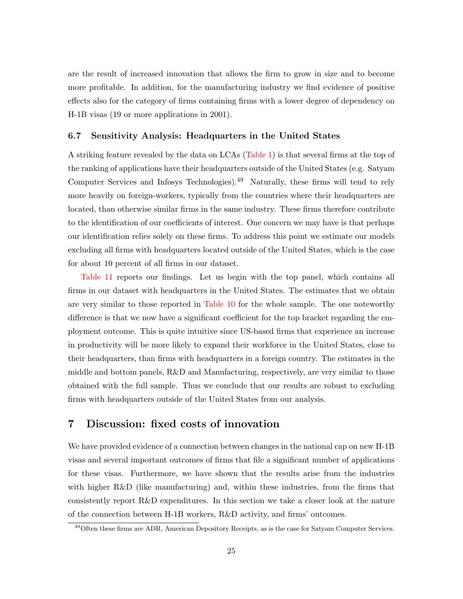are the result of increased innovation that allows the firm to grow in size and to become more profitable. In addition, for the manufacturing industry we find evidence of positive effects also for the category of firms containing firms with a lower degree of dependency on H-1B visas (19 or more applications in 2001).

#### 6.7 Sensitivity Analysis: Headquarters in the United States

A striking feature revealed by the data on LCAs [\(Table 1\)](#page-33-0) is that several firms at the top of the ranking of applications have their headquarters outside of the United States (e.g. Satyam Computer Services and Infosys Technologies).<sup>49</sup> Naturally, these firms will tend to rely more heavily on foreign-workers, typically from the countries where their headquarters are located, than otherwise similar firms in the same industry. These firms therefore contribute to the identification of our coefficients of interest. One concern we may have is that perhaps our identification relies solely on these firms. To address this point we estimate our models excluding all firms with headquarters located outside of the United States, which is the case for about 10 percent of all firms in our dataset.

[Table 11](#page-43-0) reports our findings. Let us begin with the top panel, which contains all firms in our dataset with headquarters in the United States. The estimates that we obtain are very similar to those reported in [Table 10](#page-42-0) for the whole sample. The one noteworthy difference is that we now have a significant coefficient for the top bracket regarding the employment outcome. This is quite intuitive since US-based firms that experience an increase in productivity will be more likely to expand their workforce in the United States, close to their headquarters, than firms with headquarters in a foreign country. The estimates in the middle and bottom panels, R&D and Manufacturing, respectively, are very similar to those obtained with the full sample. Thus we conclude that our results are robust to excluding firms with headquarters outside of the United States from our analysis.

### <span id="page-27-0"></span>7 Discussion: fixed costs of innovation

We have provided evidence of a connection between changes in the national cap on new H-1B visas and several important outcomes of firms that file a significant number of applications for these visas. Furthermore, we have shown that the results arise from the industries with higher R&D (like manufacturing) and, within these industries, from the firms that consistently report R&D expenditures. In this section we take a closer look at the nature of the connection between H-1B workers, R&D activity, and firms' outcomes.

<sup>49</sup>Often these firms are ADR, American Depository Receipts, as is the case for Satyam Computer Services.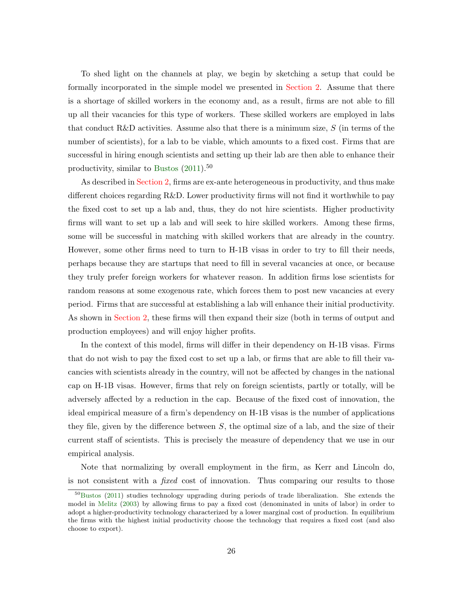To shed light on the channels at play, we begin by sketching a setup that could be formally incorporated in the simple model we presented in [Section 2.](#page-7-0) Assume that there is a shortage of skilled workers in the economy and, as a result, firms are not able to fill up all their vacancies for this type of workers. These skilled workers are employed in labs that conduct R&D activities. Assume also that there is a minimum size,  $S$  (in terms of the number of scientists), for a lab to be viable, which amounts to a fixed cost. Firms that are successful in hiring enough scientists and setting up their lab are then able to enhance their productivity, similar to [Bustos](#page-31-5)  $(2011).<sup>50</sup>$  $(2011).<sup>50</sup>$ 

As described in [Section 2,](#page-7-0) firms are ex-ante heterogeneous in productivity, and thus make different choices regarding R&D. Lower productivity firms will not find it worthwhile to pay the fixed cost to set up a lab and, thus, they do not hire scientists. Higher productivity firms will want to set up a lab and will seek to hire skilled workers. Among these firms, some will be successful in matching with skilled workers that are already in the country. However, some other firms need to turn to H-1B visas in order to try to fill their needs, perhaps because they are startups that need to fill in several vacancies at once, or because they truly prefer foreign workers for whatever reason. In addition firms lose scientists for random reasons at some exogenous rate, which forces them to post new vacancies at every period. Firms that are successful at establishing a lab will enhance their initial productivity. As shown in [Section 2,](#page-7-0) these firms will then expand their size (both in terms of output and production employees) and will enjoy higher profits.

In the context of this model, firms will differ in their dependency on H-1B visas. Firms that do not wish to pay the fixed cost to set up a lab, or firms that are able to fill their vacancies with scientists already in the country, will not be affected by changes in the national cap on H-1B visas. However, firms that rely on foreign scientists, partly or totally, will be adversely affected by a reduction in the cap. Because of the fixed cost of innovation, the ideal empirical measure of a firm's dependency on H-1B visas is the number of applications they file, given by the difference between  $S$ , the optimal size of a lab, and the size of their current staff of scientists. This is precisely the measure of dependency that we use in our empirical analysis.

Note that normalizing by overall employment in the firm, as Kerr and Lincoln do, is not consistent with a fixed cost of innovation. Thus comparing our results to those

<sup>50</sup>[Bustos](#page-31-5) [\(2011\)](#page-31-5) studies technology upgrading during periods of trade liberalization. She extends the model in [Melitz](#page-32-5) [\(2003\)](#page-32-5) by allowing firms to pay a fixed cost (denominated in units of labor) in order to adopt a higher-productivity technology characterized by a lower marginal cost of production. In equilibrium the firms with the highest initial productivity choose the technology that requires a fixed cost (and also choose to export).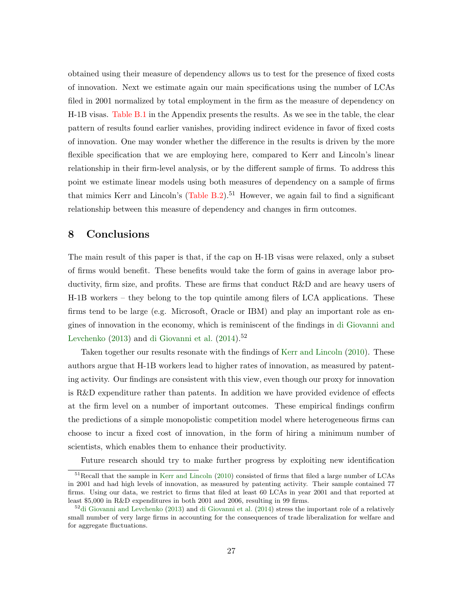obtained using their measure of dependency allows us to test for the presence of fixed costs of innovation. Next we estimate again our main specifications using the number of LCAs filed in 2001 normalized by total employment in the firm as the measure of dependency on H-1B visas. [Table B.1](#page-49-0) in the Appendix presents the results. As we see in the table, the clear pattern of results found earlier vanishes, providing indirect evidence in favor of fixed costs of innovation. One may wonder whether the difference in the results is driven by the more flexible specification that we are employing here, compared to Kerr and Lincoln's linear relationship in their firm-level analysis, or by the different sample of firms. To address this point we estimate linear models using both measures of dependency on a sample of firms that mimics Kerr and Lincoln's  $(Table B.2)$ .<sup>51</sup> However, we again fail to find a significant relationship between this measure of dependency and changes in firm outcomes.

## <span id="page-29-0"></span>8 Conclusions

The main result of this paper is that, if the cap on H-1B visas were relaxed, only a subset of firms would benefit. These benefits would take the form of gains in average labor productivity, firm size, and profits. These are firms that conduct R&D and are heavy users of H-1B workers – they belong to the top quintile among filers of LCA applications. These firms tend to be large (e.g. Microsoft, Oracle or IBM) and play an important role as engines of innovation in the economy, which is reminiscent of the findings in [di Giovanni and](#page-31-13) [Levchenko](#page-31-13)  $(2013)$  and [di Giovanni et al.](#page-31-14)  $(2014).<sup>52</sup>$  $(2014).<sup>52</sup>$ 

Taken together our results resonate with the findings of [Kerr and Lincoln](#page-32-1) [\(2010\)](#page-32-1). These authors argue that H-1B workers lead to higher rates of innovation, as measured by patenting activity. Our findings are consistent with this view, even though our proxy for innovation is R&D expenditure rather than patents. In addition we have provided evidence of effects at the firm level on a number of important outcomes. These empirical findings confirm the predictions of a simple monopolistic competition model where heterogeneous firms can choose to incur a fixed cost of innovation, in the form of hiring a minimum number of scientists, which enables them to enhance their productivity.

Future research should try to make further progress by exploiting new identification

<sup>&</sup>lt;sup>51</sup>Recall that the sample in [Kerr and Lincoln](#page-32-1) [\(2010\)](#page-32-1) consisted of firms that filed a large number of LCAs in 2001 and had high levels of innovation, as measured by patenting activity. Their sample contained 77 firms. Using our data, we restrict to firms that filed at least 60 LCAs in year 2001 and that reported at least \$5,000 in R&D expenditures in both 2001 and 2006, resulting in 99 firms.

 $52\text{di}$  Giovanni and Levchenko [\(2013\)](#page-31-13) and [di Giovanni et al.](#page-31-14) [\(2014\)](#page-31-14) stress the important role of a relatively small number of very large firms in accounting for the consequences of trade liberalization for welfare and for aggregate fluctuations.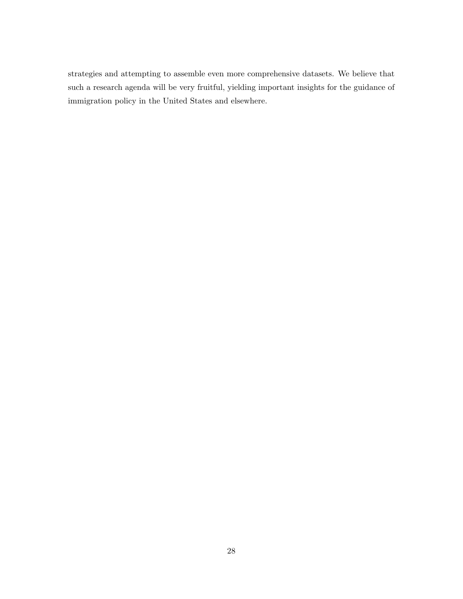strategies and attempting to assemble even more comprehensive datasets. We believe that such a research agenda will be very fruitful, yielding important insights for the guidance of immigration policy in the United States and elsewhere.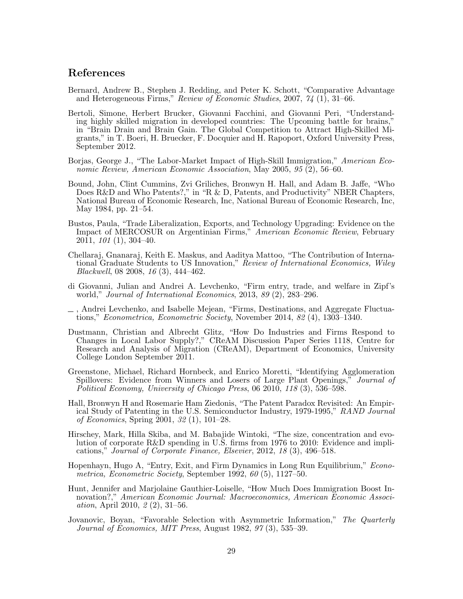# References

- <span id="page-31-4"></span>Bernard, Andrew B., Stephen J. Redding, and Peter K. Schott, "Comparative Advantage and Heterogeneous Firms," Review of Economic Studies, 2007, 74 (1), 31–66.
- <span id="page-31-7"></span>Bertoli, Simone, Herbert Brucker, Giovanni Facchini, and Giovanni Peri, "Understanding highly skilled migration in developed countries: The Upcoming battle for brains," in "Brain Drain and Brain Gain. The Global Competition to Attract High-Skilled Migrants," in T. Boeri, H. Bruecker, F. Docquier and H. Rapoport, Oxford University Press, September 2012.
- <span id="page-31-1"></span>Borjas, George J., "The Labor-Market Impact of High-Skill Immigration," American Economic Review, American Economic Association, May 2005, 95 (2), 56–60.
- <span id="page-31-11"></span>Bound, John, Clint Cummins, Zvi Griliches, Bronwyn H. Hall, and Adam B. Jaffe, "Who Does R&D and Who Patents?," in "R & D, Patents, and Productivity" NBER Chapters, National Bureau of Economic Research, Inc, National Bureau of Economic Research, Inc, May 1984, pp. 21–54.
- <span id="page-31-5"></span>Bustos, Paula, "Trade Liberalization, Exports, and Technology Upgrading: Evidence on the Impact of MERCOSUR on Argentinian Firms," American Economic Review, February 2011, 101 (1), 304–40.
- <span id="page-31-3"></span>Chellaraj, Gnanaraj, Keith E. Maskus, and Aaditya Mattoo, "The Contribution of International Graduate Students to US Innovation," Review of International Economics, Wiley Blackwell, 08 2008, 16 (3), 444–462.
- <span id="page-31-13"></span>di Giovanni, Julian and Andrei A. Levchenko, "Firm entry, trade, and welfare in Zipf's world," Journal of International Economics, 2013, 89 (2), 283–296.
- <span id="page-31-14"></span>, Andrei Levchenko, and Isabelle Mejean, "Firms, Destinations, and Aggregate Fluctuations," Econometrica, Econometric Society, November 2014, 82 (4), 1303–1340.
- <span id="page-31-8"></span>Dustmann, Christian and Albrecht Glitz, "How Do Industries and Firms Respond to Changes in Local Labor Supply?," CReAM Discussion Paper Series 1118, Centre for Research and Analysis of Migration (CReAM), Department of Economics, University College London September 2011.
- <span id="page-31-6"></span>Greenstone, Michael, Richard Hornbeck, and Enrico Moretti, "Identifying Agglomeration Spillovers: Evidence from Winners and Losers of Large Plant Openings," Journal of Political Economy, University of Chicago Press, 06 2010, 118 (3), 536–598.
- <span id="page-31-2"></span>Hall, Bronwyn H and Rosemarie Ham Ziedonis, "The Patent Paradox Revisited: An Empirical Study of Patenting in the U.S. Semiconductor Industry, 1979-1995," RAND Journal of Economics, Spring 2001, 32 (1), 101–28.
- <span id="page-31-12"></span>Hirschey, Mark, Hilla Skiba, and M. Babajide Wintoki, "The size, concentration and evolution of corporate R&D spending in U.S. firms from 1976 to 2010: Evidence and implications," Journal of Corporate Finance, Elsevier, 2012, 18 (3), 496–518.
- <span id="page-31-10"></span>Hopenhayn, Hugo A, "Entry, Exit, and Firm Dynamics in Long Run Equilibrium," Econometrica, Econometric Society, September 1992, 60 (5), 1127–50.
- <span id="page-31-0"></span>Hunt, Jennifer and Marjolaine Gauthier-Loiselle, "How Much Does Immigration Boost Innovation?," American Economic Journal: Macroeconomics, American Economic Association, April 2010, 2 (2), 31–56.
- <span id="page-31-9"></span>Jovanovic, Boyan, "Favorable Selection with Asymmetric Information," The Quarterly Journal of Economics, MIT Press, August 1982, 97 (3), 535–39.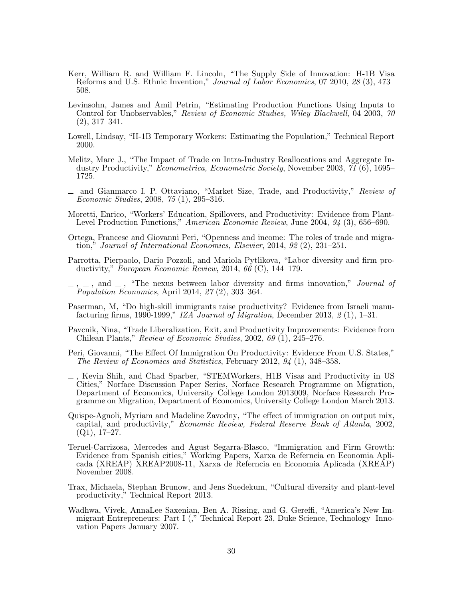- <span id="page-32-1"></span>Kerr, William R. and William F. Lincoln, "The Supply Side of Innovation: H-1B Visa Reforms and U.S. Ethnic Invention," Journal of Labor Economics, 07 2010, 28 (3), 473– 508.
- <span id="page-32-16"></span>Levinsohn, James and Amil Petrin, "Estimating Production Functions Using Inputs to Control for Unobservables," Review of Economic Studies, Wiley Blackwell, 04 2003, 70 (2), 317–341.
- <span id="page-32-4"></span>Lowell, Lindsay, "H-1B Temporary Workers: Estimating the Population," Technical Report 2000.
- <span id="page-32-5"></span>Melitz, Marc J., "The Impact of Trade on Intra-Industry Reallocations and Aggregate Industry Productivity," Econometrica, Econometric Society, November 2003, 71 (6), 1695– 1725.
- <span id="page-32-7"></span>and Gianmarco I. P. Ottaviano, "Market Size, Trade, and Productivity," Review of Economic Studies, 2008, 75 (1), 295–316.
- <span id="page-32-11"></span>Moretti, Enrico, "Workers' Education, Spillovers, and Productivity: Evidence from Plant-Level Production Functions," American Economic Review, June 2004, 94 (3), 656–690.
- <span id="page-32-10"></span>Ortega, Francesc and Giovanni Peri, "Openness and income: The roles of trade and migration," Journal of International Economics, Elsevier, 2014, 92 (2), 231–251.
- <span id="page-32-13"></span>Parrotta, Pierpaolo, Dario Pozzoli, and Mariola Pytlikova, "Labor diversity and firm productivity," European Economic Review, 2014, 66  $(C)$ , 144–179.
- <span id="page-32-2"></span> $\Box$ , and  $\Box$ , "The nexus between labor diversity and firms innovation," Journal of Population Economics, April 2014, 27 (2), 303–364.
- <span id="page-32-12"></span>Paserman, M, "Do high-skill immigrants raise productivity? Evidence from Israeli manufacturing firms, 1990-1999," IZA Journal of Migration, December 2013,  $\mathcal{Z}(1)$ , 1–31.
- <span id="page-32-6"></span>Pavcnik, Nina, "Trade Liberalization, Exit, and Productivity Improvements: Evidence from Chilean Plants," Review of Economic Studies, 2002, 69 (1), 245–276.
- <span id="page-32-9"></span>Peri, Giovanni, "The Effect Of Immigration On Productivity: Evidence From U.S. States," The Review of Economics and Statistics, February 2012, 94 (1), 348–358.
- <span id="page-32-3"></span>, Kevin Shih, and Chad Sparber, "STEMWorkers, H1B Visas and Productivity in US Cities," Norface Discussion Paper Series, Norface Research Programme on Migration, Department of Economics, University College London 2013009, Norface Research Programme on Migration, Department of Economics, University College London March 2013.
- <span id="page-32-8"></span>Quispe-Agnoli, Myriam and Madeline Zavodny, "The effect of immigration on output mix, capital, and productivity," Economic Review, Federal Reserve Bank of Atlanta, 2002,  $(Q1), 17-27.$
- <span id="page-32-14"></span>Teruel-Carrizosa, Mercedes and Agust Segarra-Blasco, "Immigration and Firm Growth: Evidence from Spanish cities," Working Papers, Xarxa de Referncia en Economia Aplicada (XREAP) XREAP2008-11, Xarxa de Referncia en Economia Aplicada (XREAP) November 2008.
- <span id="page-32-15"></span>Trax, Michaela, Stephan Brunow, and Jens Suedekum, "Cultural diversity and plant-level productivity," Technical Report 2013.
- <span id="page-32-0"></span>Wadhwa, Vivek, AnnaLee Saxenian, Ben A. Rissing, and G. Gereffi, "America's New Immigrant Entrepreneurs: Part I (," Technical Report 23, Duke Science, Technology Innovation Papers January 2007.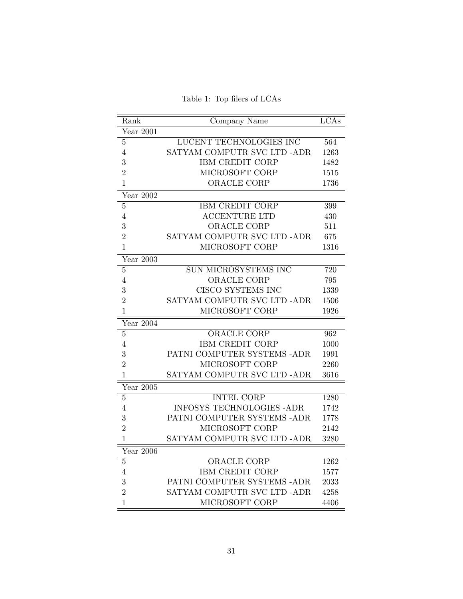Table 1: Top filers of LCAs

<span id="page-33-0"></span>

| Rank           | Company Name                     | LCAs |
|----------------|----------------------------------|------|
| Year 2001      |                                  |      |
| $\overline{5}$ | LUCENT TECHNOLOGIES INC          | 564  |
| $\overline{4}$ | SATYAM COMPUTR SVC LTD -ADR      | 1263 |
| 3              | <b>IBM CREDIT CORP</b>           | 1482 |
| $\overline{2}$ | MICROSOFT CORP                   | 1515 |
| $\mathbf{1}$   | ORACLE CORP                      | 1736 |
| Year 2002      |                                  |      |
| $\overline{5}$ | IBM CREDIT CORP                  | 399  |
| $\overline{4}$ | <b>ACCENTURE LTD</b>             | 430  |
| 3              | ORACLE CORP                      | 511  |
| $\overline{2}$ | SATYAM COMPUTR SVC LTD -ADR      | 675  |
| $\mathbf{1}$   | MICROSOFT CORP                   | 1316 |
| Year 2003      |                                  |      |
| $\overline{5}$ | SUN MICROSYSTEMS INC             | 720  |
| 4              | ORACLE CORP                      | 795  |
| 3              | CISCO SYSTEMS INC                | 1339 |
| $\overline{2}$ | SATYAM COMPUTR SVC LTD -ADR      | 1506 |
| $\mathbf{1}$   | MICROSOFT CORP                   | 1926 |
| Year $2004$    |                                  |      |
| 5              | <b>ORACLE CORP</b>               | 962  |
| 4              | <b>IBM CREDIT CORP</b>           | 1000 |
| 3              | PATNI COMPUTER SYSTEMS -ADR      | 1991 |
| $\overline{2}$ | MICROSOFT CORP                   | 2260 |
| $\mathbf{1}$   | SATYAM COMPUTR SVC LTD -ADR      | 3616 |
| Year $2005$    |                                  |      |
| $\overline{5}$ | <b>INTEL CORP</b>                | 1280 |
| 4              | <b>INFOSYS TECHNOLOGIES -ADR</b> | 1742 |
| 3              | PATNI COMPUTER SYSTEMS -ADR      | 1778 |
| $\overline{2}$ | MICROSOFT CORP                   | 2142 |
| $\mathbf{1}$   | SATYAM COMPUTR SVC LTD -ADR      | 3280 |
| Year 2006      |                                  |      |
| $\mathbf 5$    | <b>ORACLE CORP</b>               | 1262 |
| $\overline{4}$ | IBM CREDIT CORP                  | 1577 |
| 3              | PATNI COMPUTER SYSTEMS -ADR      | 2033 |
| $\overline{2}$ | SATYAM COMPUTR SVC LTD -ADR      | 4258 |
| 1              | MICROSOFT CORP                   | 4406 |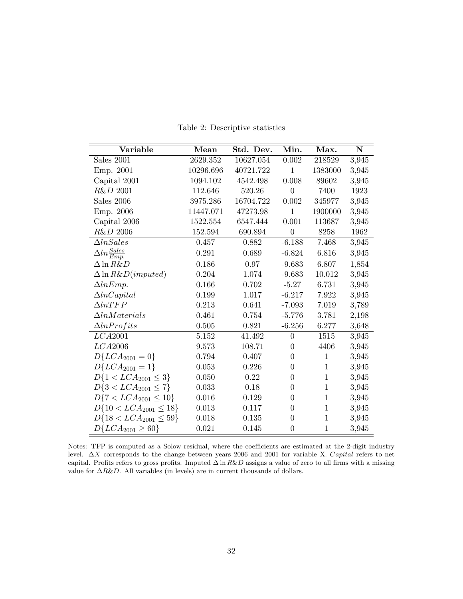<span id="page-34-0"></span>

| Variable                       | Mean      | Std. Dev. | Min.             | Max.         | ${\bf N}$ |
|--------------------------------|-----------|-----------|------------------|--------------|-----------|
| Sales 2001                     | 2629.352  | 10627.054 | 0.002            | 218529       | 3,945     |
| Emp. 2001                      | 10296.696 | 40721.722 | $\mathbf{1}$     | 1383000      | 3,945     |
| Capital 2001                   | 1094.102  | 4542.498  | 0.008            | 89602        | 3,945     |
| R&D 2001                       | 112.646   | 520.26    | $\overline{0}$   | 7400         | 1923      |
| Sales 2006                     | 3975.286  | 16704.722 | 0.002            | 345977       | 3,945     |
| Emp. 2006                      | 11447.071 | 47273.98  | $\mathbf{1}$     | 1900000      | 3,945     |
| Capital 2006                   | 1522.554  | 6547.444  | 0.001            | 113687       | 3,945     |
| R&D 2006                       | 152.594   | 690.894   | $\boldsymbol{0}$ | 8258         | 1962      |
| $\Delta In Sales$              | 0.457     | 0.882     | $-6.188$         | 7.468        | 3,945     |
| $\Delta ln \frac{Sales}{Emp.}$ | 0.291     | 0.689     | $-6.824$         | 6.816        | 3,945     |
| $\Delta \ln R\&D$              | 0.186     | 0.97      | $-9.683$         | 6.807        | 1,854     |
| $\Delta \ln R\&D (imputed)$    | 0.204     | 1.074     | $-9.683$         | 10.012       | 3,945     |
| $\Delta lnEmp.$                | 0.166     | 0.702     | $-5.27$          | 6.731        | 3,945     |
| $\Delta ln Capital$            | 0.199     | 1.017     | $-6.217$         | 7.922        | 3,945     |
| $\Delta ln TFP$                | 0.213     | 0.641     | $-7.093$         | 7.019        | 3,789     |
| $\Delta ln Materials$          | 0.461     | 0.754     | $-5.776$         | 3.781        | 2,198     |
| $\Delta lnProtits$             | 0.505     | 0.821     | $-6.256$         | 6.277        | 3,648     |
| LCA2001                        | 5.152     | 41.492    | $\overline{0}$   | 1515         | 3,945     |
| LCA2006                        | 9.573     | 108.71    | $\boldsymbol{0}$ | 4406         | 3,945     |
| $D\{LCA_{2001}=0\}$            | 0.794     | 0.407     | $\overline{0}$   | $\mathbf{1}$ | 3,945     |
| $D\{LCA_{2001} = 1\}$          | 0.053     | 0.226     | $\overline{0}$   | $\mathbf{1}$ | 3,945     |
| $D\{1 < LCA_{2001} \leq 3\}$   | 0.050     | 0.22      | $\overline{0}$   | $\mathbf{1}$ | 3,945     |
| $D\{3 < LCA_{2001} \leq 7\}$   | 0.033     | 0.18      | $\boldsymbol{0}$ | $\mathbf{1}$ | 3,945     |
| $D\{7 < LCA_{2001} \leq 10\}$  | 0.016     | 0.129     | $\overline{0}$   | $\,1$        | 3,945     |
| $D\{10 < LCA_{2001} \leq 18\}$ | 0.013     | 0.117     | $\overline{0}$   | $\mathbf{1}$ | 3,945     |
| $D\{18 < LCA_{2001} \leq 59\}$ | 0.018     | 0.135     | 0                | $\mathbf{1}$ | 3,945     |
| $D\{LCA_{2001} \ge 60\}$       | 0.021     | 0.145     | $\boldsymbol{0}$ | $\mathbf{1}$ | 3,945     |

Table 2: Descriptive statistics

Notes: TFP is computed as a Solow residual, where the coefficients are estimated at the 2-digit industry level. ∆X corresponds to the change between years 2006 and 2001 for variable X. Capital refers to net capital. Profits refers to gross profits. Imputed  $\Delta \ln R\&D$  assigns a value of zero to all firms with a missing value for  $\triangle R\&D$ . All variables (in levels) are in current thousands of dollars.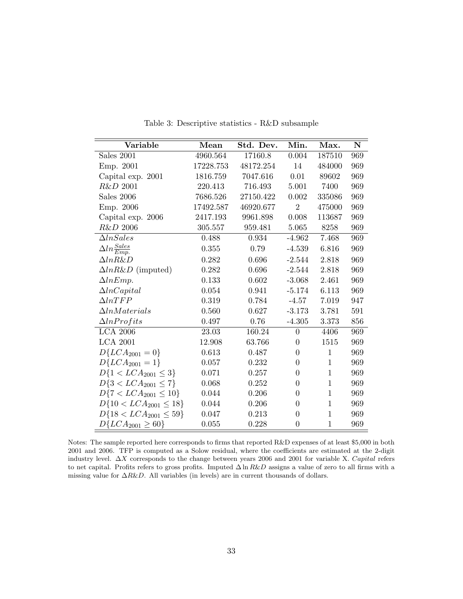<span id="page-35-0"></span>

| Variable                       | Mean      | Std. Dev. | Min.           | Max.         | ${\bf N}$ |
|--------------------------------|-----------|-----------|----------------|--------------|-----------|
| Sales 2001                     | 4960.564  | 17160.8   | 0.004          | 187510       | 969       |
| Emp. 2001                      | 17228.753 | 48172.254 | 14             | 484000       | 969       |
| Capital exp. 2001              | 1816.759  | 7047.616  | 0.01           | 89602        | 969       |
| R&D 2001                       | 220.413   | 716.493   | 5.001          | 7400         | 969       |
| Sales 2006                     | 7686.526  | 27150.422 | 0.002          | 335086       | 969       |
| Emp. 2006                      | 17492.587 | 46920.677 | $\overline{2}$ | 475000       | 969       |
| Capital exp. 2006              | 2417.193  | 9961.898  | 0.008          | 113687       | 969       |
| R&D 2006                       | 305.557   | 959.481   | 5.065          | 8258         | 969       |
| $\Delta In Sales$              | 0.488     | 0.934     | $-4.962$       | 7.468        | 969       |
| $\Delta ln \frac{Sales}{Emp.}$ | 0.355     | 0.79      | $-4.539$       | 6.816        | 969       |
| $\Delta ln R\&D$               | 0.282     | 0.696     | $-2.544$       | 2.818        | 969       |
| $\Delta ln R\&D$ (imputed)     | 0.282     | 0.696     | $-2.544$       | 2.818        | 969       |
| $\Delta lnEmp.$                | 0.133     | 0.602     | $-3.068$       | 2.461        | 969       |
| $\Delta ln Capital$            | 0.054     | 0.941     | $-5.174$       | 6.113        | 969       |
| $\Delta ln TFP$                | 0.319     | 0.784     | $-4.57$        | 7.019        | 947       |
| $\Delta ln Materials$          | 0.560     | 0.627     | $-3.173$       | 3.781        | 591       |
| $\Delta ln$ <i>Profits</i>     | 0.497     | 0.76      | $-4.305$       | 3.373        | 856       |
| <b>LCA 2006</b>                | 23.03     | 160.24    | $\theta$       | 4406         | 969       |
| <b>LCA 2001</b>                | 12.908    | 63.766    | $\overline{0}$ | 1515         | 969       |
| $D\{LCA_{2001}=0\}$            | 0.613     | 0.487     | $\overline{0}$ | $\mathbf{1}$ | 969       |
| $D\{LCA_{2001}=1\}$            | 0.057     | 0.232     | $\overline{0}$ | $\mathbf{1}$ | 969       |
| $D\{1 < LCA_{2001} \leq 3\}$   | 0.071     | 0.257     | $\overline{0}$ | $\mathbf{1}$ | 969       |
| $D\{3 < LCA_{2001} \leq 7\}$   | 0.068     | 0.252     | $\overline{0}$ | $\mathbf{1}$ | 969       |
| $D\{7 < LCA_{2001} \leq 10\}$  | 0.044     | 0.206     | $\theta$       | $\mathbf{1}$ | 969       |
| $D\{10 < LCA_{2001} \leq 18\}$ | 0.044     | 0.206     | $\overline{0}$ | $\mathbf{1}$ | 969       |
| $D\{18 < LCA_{2001} \leq 59\}$ | 0.047     | 0.213     | $\overline{0}$ | $\mathbf{1}$ | 969       |
| $D\{LCA_{2001} \geq 60\}$      | 0.055     | 0.228     | $\overline{0}$ | $\mathbf{1}$ | 969       |

Table 3: Descriptive statistics - R&D subsample

Notes: The sample reported here corresponds to firms that reported R&D expenses of at least \$5,000 in both 2001 and 2006. TFP is computed as a Solow residual, where the coefficients are estimated at the 2-digit industry level. ∆X corresponds to the change between years 2006 and 2001 for variable X. Capital refers to net capital. Profits refers to gross profits. Imputed  $\Delta \ln R\&D$  assigns a value of zero to all firms with a missing value for  $\Delta R \& D$ . All variables (in levels) are in current thousands of dollars.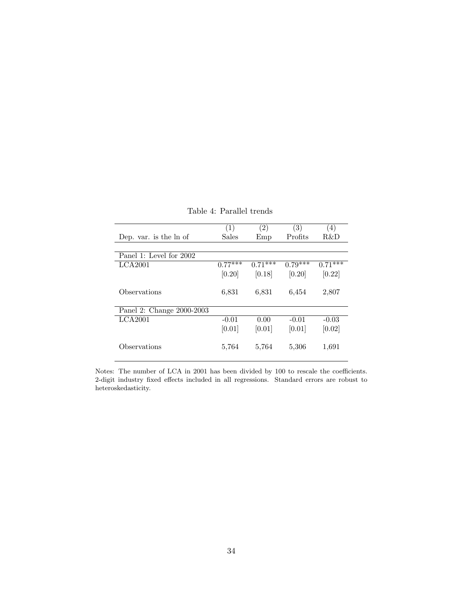<span id="page-36-0"></span>

|                           | (1)       | $\left( 2\right)$ | $\left(3\right)$ | (4)       |
|---------------------------|-----------|-------------------|------------------|-----------|
| Dep. var. is the ln of    | Sales     | Emp               | Profits          | R&D       |
|                           |           |                   |                  |           |
| Panel 1: Level for 2002   |           |                   |                  |           |
| LCA2001                   | $0.77***$ | $0.71***$         | $0.79***$        | $0.71***$ |
|                           | [0.20]    | [0.18]            | [0.20]           | [0.22]    |
| Observations              | 6,831     | 6,831             | 6,454            | 2,807     |
| Panel 2: Change 2000-2003 |           |                   |                  |           |
| LCA2001                   | $-0.01$   | 0.00              | $-0.01$          | $-0.03$   |
|                           | [0.01]    | [0.01]            | [0.01]           | [0.02]    |
| Observations              | 5,764     | 5,764             | 5,306            | 1,691     |

Table 4: Parallel trends

Notes: The number of LCA in 2001 has been divided by 100 to rescale the coefficients. 2-digit industry fixed effects included in all regressions. Standard errors are robust to heteroskedasticity.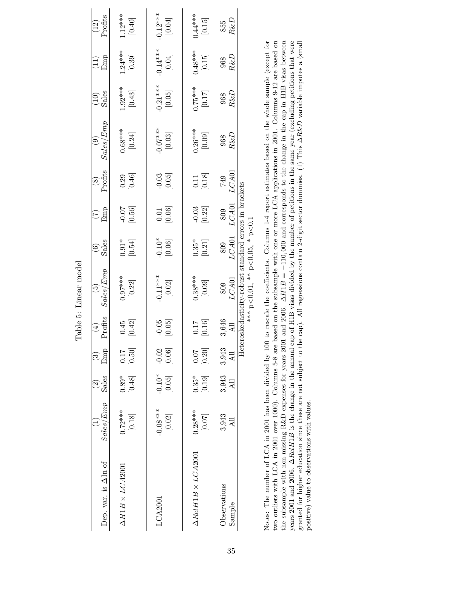<span id="page-37-0"></span>

| $-0.12***$<br>[0.04]<br>$1.12***$<br>[0.40]<br>$0.44***$<br>[0.15]<br>$\frac{(12)}{Proofts}$<br>$R\&D$<br>855<br>$-0.14***$<br>[0.04]<br>$0.48***$<br>[0.15]<br>$1.24***$<br>[0.39]<br>$\frac{968}{R\&D}$<br>$\begin{pmatrix} 11 \\ \text{Emp} \end{pmatrix}$<br>$-0.21***$<br>$[0.05]$<br>$[0.17]$<br>****57.0<br>$1.92***$<br>[0.43]<br>$\frac{(10)}{Sales}$<br>$\frac{968}{R\&D}$<br>Sales/Emp<br>$-0.07***$<br>$0.26***$<br>[0.09]<br>$0.68***$<br>[0.24]<br>$\left[ 0.03\right]$<br>$R\&D$<br>968<br>Profits<br>LCA01<br>$\begin{bmatrix} 0.29 \\ 0.46 \end{bmatrix}$<br>$\begin{bmatrix} 0.03 \\ 0.05 \end{bmatrix}$<br>$\begin{bmatrix} 0.11 \\ 0.18 \end{bmatrix}$<br>749<br>${\it LCA01}$<br>$-0.03$ [0.22]<br>$-0.56$ ]<br>$\begin{bmatrix} 0.01 \\ 0.06 \end{bmatrix}$<br>809<br>$\widehat{C}_{\text{Lip}}$<br>$-0.10*$<br>[0.06]<br>[0.54]<br>$[0.35]$ <sup>*</sup><br>$\frac{6}{3}$ ales<br>809<br>Sales/Emp<br>$-0.11***$<br>$[0.02]$<br>$0.38***$<br>${\it LCA01}$<br>$0.97***$<br>$[0.22]$<br>809<br>Profits<br>3,646<br>$\begin{bmatrix} 0.45 \\ 0.42 \end{bmatrix}$<br>[0.16]<br>$-0.05$<br>[0.05]<br>[0.50]<br>$-0.02$<br>[0.06]<br>[0.20]<br>3,943<br>Emp<br>$\overline{A}$ ll<br>$-0.10*$<br>[0.05]<br>3,943<br>$0.35*$<br>$\left[ 0.19\right]$<br>$[0.89*]$<br>Sales<br>3,943<br>$\left[0.07\right]$ |            | $\mathit{Sales}/\mathit{Emp}$<br>$-0.08***$<br>[0.02]<br>$0.28***$<br>$\begin{bmatrix} 0.72**\\ 0.18 \end{bmatrix}$ |
|----------------------------------------------------------------------------------------------------------------------------------------------------------------------------------------------------------------------------------------------------------------------------------------------------------------------------------------------------------------------------------------------------------------------------------------------------------------------------------------------------------------------------------------------------------------------------------------------------------------------------------------------------------------------------------------------------------------------------------------------------------------------------------------------------------------------------------------------------------------------------------------------------------------------------------------------------------------------------------------------------------------------------------------------------------------------------------------------------------------------------------------------------------------------------------------------------------------------------------------------------------------------------------------------------------------------------|------------|---------------------------------------------------------------------------------------------------------------------|
|                                                                                                                                                                                                                                                                                                                                                                                                                                                                                                                                                                                                                                                                                                                                                                                                                                                                                                                                                                                                                                                                                                                                                                                                                                                                                                                            |            |                                                                                                                     |
|                                                                                                                                                                                                                                                                                                                                                                                                                                                                                                                                                                                                                                                                                                                                                                                                                                                                                                                                                                                                                                                                                                                                                                                                                                                                                                                            |            |                                                                                                                     |
|                                                                                                                                                                                                                                                                                                                                                                                                                                                                                                                                                                                                                                                                                                                                                                                                                                                                                                                                                                                                                                                                                                                                                                                                                                                                                                                            |            |                                                                                                                     |
|                                                                                                                                                                                                                                                                                                                                                                                                                                                                                                                                                                                                                                                                                                                                                                                                                                                                                                                                                                                                                                                                                                                                                                                                                                                                                                                            |            |                                                                                                                     |
|                                                                                                                                                                                                                                                                                                                                                                                                                                                                                                                                                                                                                                                                                                                                                                                                                                                                                                                                                                                                                                                                                                                                                                                                                                                                                                                            |            |                                                                                                                     |
|                                                                                                                                                                                                                                                                                                                                                                                                                                                                                                                                                                                                                                                                                                                                                                                                                                                                                                                                                                                                                                                                                                                                                                                                                                                                                                                            | $_{LCA01}$ |                                                                                                                     |

the subsample with non-missing R&D expenses for years 2001 and 2006.  $\Delta H1B = -110,000$  and corresponds to the change in the cap in H1B visas between years 2001 and 2006.  $\Delta ReIHIB$  is the change in the annual cap of H1B visa Notes: The number of LCA in 2001 has been divided by 100 to rescale the coefficients. Columns 1-4 report estimates based on the whole sample (except for two outliers with LCA in 2001 over 1000). Columns 5-8 are based on the subsample with one or more LCA applications in 2001. Columns 9-12 are based on granted for higher education since these are not subject to the cap). All regressions contain 2-digit sector dummies. (1) This ∆R&D variable imputes a (small externion and a formall external and a formall external and a f Notes: The number of LCA in 2001 has been divided by 100 to rescale the coefficients. Columns 1-4 report estimates based on the whole sample (except for two outliers with LCA in 2001 over 1000). Columns 5-8 are based on the subsample with one or more LCA applications in 2001. Columns 9-12 are based on the subsample with non-missing R&D expenses for years 2001 and 2006. ∆H1B = −110, 000 and corresponds to the change in the cap in H1B visas between years 2001 and 2006. ∆RelH1B is the change in the annual cap of H1B visas divided by the number of petitions in the same year (excluding petitions that were<br>an analyzed in the same way to be a man and the same way to be a positive) value to observations with values. positive) value to observations with values.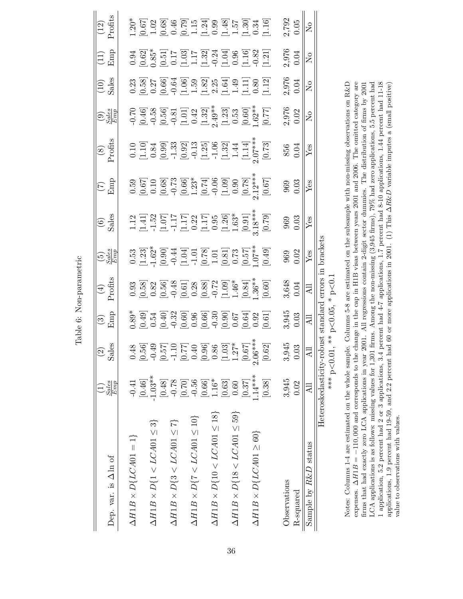| Dep. var. is $\Delta$ ln of                 | $\frac{Sales}{Emp}$       | 89<br>$\mathrel{\mathop{\odot}}$<br><u>reS</u>                                                                                                                                                                                                                                                                              | $\begin{array}{c} \circ \\ \circ \\ \hline \end{array}$                                                                                  | $\frac{4}{1}$<br>Profits | $\frac{5}{E}$                                                                                                            | $\frac{6}{5}$                                                                                                                                                                                                                                                              | $\frac{1}{2}$                                                                                                                                                                                                                                                                                 | $\frac{(8)}{2 \text{rofits}}$                                                                                                                                                                                                                    | $\bigodot_{S\subseteq\mathcal{B}\atop E\cap\mathcal{B}}^{S\cup\mathcal{B}}$                                                                                                                                                     | $(10)$<br>Sales           | $\frac{11}{2}$                                                                                                                                                                                                                                                                                                | $(12)$<br>Profits                                                                                                                                                                                                                                                                                             |
|---------------------------------------------|---------------------------|-----------------------------------------------------------------------------------------------------------------------------------------------------------------------------------------------------------------------------------------------------------------------------------------------------------------------------|------------------------------------------------------------------------------------------------------------------------------------------|--------------------------|--------------------------------------------------------------------------------------------------------------------------|----------------------------------------------------------------------------------------------------------------------------------------------------------------------------------------------------------------------------------------------------------------------------|-----------------------------------------------------------------------------------------------------------------------------------------------------------------------------------------------------------------------------------------------------------------------------------------------|--------------------------------------------------------------------------------------------------------------------------------------------------------------------------------------------------------------------------------------------------|---------------------------------------------------------------------------------------------------------------------------------------------------------------------------------------------------------------------------------|---------------------------|---------------------------------------------------------------------------------------------------------------------------------------------------------------------------------------------------------------------------------------------------------------------------------------------------------------|---------------------------------------------------------------------------------------------------------------------------------------------------------------------------------------------------------------------------------------------------------------------------------------------------------------|
| $\Delta H1B \times D\{LCA01=1\}$            | $-0.41$                   |                                                                                                                                                                                                                                                                                                                             |                                                                                                                                          |                          |                                                                                                                          |                                                                                                                                                                                                                                                                            |                                                                                                                                                                                                                                                                                               |                                                                                                                                                                                                                                                  |                                                                                                                                                                                                                                 |                           |                                                                                                                                                                                                                                                                                                               |                                                                                                                                                                                                                                                                                                               |
|                                             | [0.46]                    | $\begin{array}{l} 0.48 \\[-4pt] 0.56 \\[-4pt] 0.67 \\[-4pt] 0.67 \\[-4pt] 0.67 \\[-4pt] 0.67 \\[-4pt] 0.67 \\[-4pt] 0.67 \\[-4pt] 0.67 \\[-4pt] 0.67 \\[-4pt] 0.67 \\[-4pt] 0.67 \\[-4pt] 0.67 \\[-4pt] 0.67 \\[-4pt] 0.67 \\[-4pt] 0.67 \\[-4pt] 0.67 \\[-4pt] 0.67 \\[-4pt] 0.67 \\[-4pt] 0.67 \\[-4pt] 0.67 \\[-4pt] 0.$ | $0.39$<br>$0.49$<br>$0.60$<br>$0.60$<br>$0.60$<br>$0.60$<br>$0.60$<br>$0.60$<br>$0.60$<br>$0.60$<br>$0.60$<br>$0.60$<br>$0.60$<br>$0.60$ |                          | 0.53<br>0.237<br>0.300 0.4 4 5 5 6 7 7 8 7 7 8 7 7 8 7 7 8 7 8 7 8 7 7 8 7 7 8 7 7 8 7 7 8 7 7 8 9 9 1 0 4 9 9 1 0 4 9 9 | $\begin{array}{l} 1.12\\ 1.41]\\ 1.52\\ 1.17\\ 1.17\\ 1.17\\ 1.17\\ 1.17\\ 1.17\\ 1.17\\ 1.17\\ 1.17\\ 1.17\\ 1.17\\ 1.17\\ 1.17\\ 1.17\\ 1.17\\ 1.17\\ 1.17\\ 1.17\\ 1.17\\ 1.17\\ 1.17\\ 1.17\\ 1.17\\ 1.17\\ 1.17\\ 1.17\\ 1.17\\ 1.17\\ 1.17\\ 1.17\\ 1.17\\ 1.17\\ 1$ | $\begin{array}{l} 0.59 \\ 0.67 \\ 0.003 \\ 0.038 \\ 0.004 \\ 0.0004 \\ 0.0004 \\ 0.0004 \\ 0.0004 \\ 0.0004 \\ 0.0004 \\ 0.0004 \\ 0.0004 \\ 0.0004 \\ 0.0004 \\ 0.0004 \\ 0.0004 \\ 0.0004 \\ 0.0004 \\ 0.0004 \\ 0.0004 \\ 0.0004 \\ 0.0004 \\ 0.0004 \\ 0.0004 \\ 0.0004 \\ 0.0004 \\ 0.0$ |                                                                                                                                                                                                                                                  |                                                                                                                                                                                                                                 |                           | $\begin{array}{l} 0.94 \\ 0.62 \\ 0.51 \\ 0.17 \\ 0.17 \\ 1.17 \\ 1.32 \\ 0.04 \\ 0.03 \\ 0.04 \\ 0.04 \\ 0.04 \\ 0.04 \\ 0.04 \\ 0.04 \\ 0.04 \\ 0.01 \\ 0.02 \\ 0.01 \\ 0.01 \\ 0.04 \\ 0.01 \\ 0.02 \\ 0.03 \\ 0.04 \\ 0.04 \\ 0.00 \\ 0.00 \\ 0.01 \\ 0.00 \\ 0.00 \\ 0.00 \\ 0.00 \\ 0.00 \\ 0.00 \\ 0.$ | $\begin{array}{l} 1.20^* \\ 1.067 \\ 0.67 \\ 1.08 \\ 0.07 \\ 0.08 \\ 0.07 \\ 0.07 \\ 0.07 \\ 0.07 \\ 0.07 \\ 0.07 \\ 0.07 \\ 0.07 \\ 0.07 \\ 0.07 \\ 0.07 \\ 0.07 \\ 0.07 \\ 0.07 \\ 0.07 \\ 0.07 \\ 0.07 \\ 0.07 \\ 0.07 \\ 0.07 \\ 0.07 \\ 0.07 \\ 0.07 \\ 0.07 \\ 0.07 \\ 0.07 \\ 0.07 \\ 0.07 \\ 0.07 \\$ |
| $\Delta H1B \times D\{1 < LCA01 \leq 3\}$   | $-1.03**$                 |                                                                                                                                                                                                                                                                                                                             |                                                                                                                                          |                          |                                                                                                                          |                                                                                                                                                                                                                                                                            |                                                                                                                                                                                                                                                                                               |                                                                                                                                                                                                                                                  |                                                                                                                                                                                                                                 |                           |                                                                                                                                                                                                                                                                                                               |                                                                                                                                                                                                                                                                                                               |
|                                             | [0.48]                    |                                                                                                                                                                                                                                                                                                                             |                                                                                                                                          |                          |                                                                                                                          |                                                                                                                                                                                                                                                                            |                                                                                                                                                                                                                                                                                               |                                                                                                                                                                                                                                                  |                                                                                                                                                                                                                                 |                           |                                                                                                                                                                                                                                                                                                               |                                                                                                                                                                                                                                                                                                               |
| $\Delta H1B \times D\{3 < LCA01 \leq 7\}$   | $-0.78$                   |                                                                                                                                                                                                                                                                                                                             |                                                                                                                                          |                          |                                                                                                                          |                                                                                                                                                                                                                                                                            |                                                                                                                                                                                                                                                                                               |                                                                                                                                                                                                                                                  |                                                                                                                                                                                                                                 |                           |                                                                                                                                                                                                                                                                                                               |                                                                                                                                                                                                                                                                                                               |
|                                             | $[0.70]$                  |                                                                                                                                                                                                                                                                                                                             |                                                                                                                                          |                          |                                                                                                                          |                                                                                                                                                                                                                                                                            |                                                                                                                                                                                                                                                                                               |                                                                                                                                                                                                                                                  |                                                                                                                                                                                                                                 |                           |                                                                                                                                                                                                                                                                                                               |                                                                                                                                                                                                                                                                                                               |
| $\Delta H1B \times D\{7 < LCA01 \leq 10\}$  | $-0.56$                   |                                                                                                                                                                                                                                                                                                                             |                                                                                                                                          |                          |                                                                                                                          |                                                                                                                                                                                                                                                                            |                                                                                                                                                                                                                                                                                               |                                                                                                                                                                                                                                                  |                                                                                                                                                                                                                                 |                           |                                                                                                                                                                                                                                                                                                               |                                                                                                                                                                                                                                                                                                               |
|                                             | $\left[0.66\right]$       |                                                                                                                                                                                                                                                                                                                             |                                                                                                                                          |                          |                                                                                                                          |                                                                                                                                                                                                                                                                            |                                                                                                                                                                                                                                                                                               |                                                                                                                                                                                                                                                  |                                                                                                                                                                                                                                 |                           |                                                                                                                                                                                                                                                                                                               |                                                                                                                                                                                                                                                                                                               |
| $\Delta H1B \times D\{10 < LCA01 \leq 18\}$ | $1.16*$                   |                                                                                                                                                                                                                                                                                                                             |                                                                                                                                          |                          |                                                                                                                          |                                                                                                                                                                                                                                                                            |                                                                                                                                                                                                                                                                                               |                                                                                                                                                                                                                                                  |                                                                                                                                                                                                                                 |                           |                                                                                                                                                                                                                                                                                                               |                                                                                                                                                                                                                                                                                                               |
|                                             | $[0.63]$                  |                                                                                                                                                                                                                                                                                                                             |                                                                                                                                          |                          |                                                                                                                          |                                                                                                                                                                                                                                                                            |                                                                                                                                                                                                                                                                                               |                                                                                                                                                                                                                                                  |                                                                                                                                                                                                                                 |                           |                                                                                                                                                                                                                                                                                                               |                                                                                                                                                                                                                                                                                                               |
| $\Delta H1B \times D\{18 < LCA01 \leq 59\}$ | 0.60                      |                                                                                                                                                                                                                                                                                                                             |                                                                                                                                          |                          |                                                                                                                          |                                                                                                                                                                                                                                                                            |                                                                                                                                                                                                                                                                                               |                                                                                                                                                                                                                                                  |                                                                                                                                                                                                                                 |                           |                                                                                                                                                                                                                                                                                                               |                                                                                                                                                                                                                                                                                                               |
|                                             | [0.37]                    |                                                                                                                                                                                                                                                                                                                             |                                                                                                                                          |                          |                                                                                                                          |                                                                                                                                                                                                                                                                            |                                                                                                                                                                                                                                                                                               |                                                                                                                                                                                                                                                  |                                                                                                                                                                                                                                 |                           |                                                                                                                                                                                                                                                                                                               |                                                                                                                                                                                                                                                                                                               |
| $\Delta H1B \times D\{LCAO1 \geq 60\}$      | $1.14***$                 |                                                                                                                                                                                                                                                                                                                             |                                                                                                                                          |                          |                                                                                                                          |                                                                                                                                                                                                                                                                            |                                                                                                                                                                                                                                                                                               |                                                                                                                                                                                                                                                  |                                                                                                                                                                                                                                 |                           |                                                                                                                                                                                                                                                                                                               |                                                                                                                                                                                                                                                                                                               |
|                                             | [0.38]                    |                                                                                                                                                                                                                                                                                                                             |                                                                                                                                          |                          |                                                                                                                          |                                                                                                                                                                                                                                                                            |                                                                                                                                                                                                                                                                                               | $\begin{array}{c} 0.10 \\[-4pt] 0.33 \\[-4pt] 0.99 \\[-4pt] 0.93 \\[-4pt] 0.97 \\[-4pt] 0.92 \\[-4pt] 0.13 \\[-4pt] 0.73 \\[-4pt] 0.73 \\[-4pt] 0.73 \\[-4pt] 0.73 \\[-4pt] 0.73 \\[-4pt] 0.73 \\[-4pt] 0.73 \\[-4pt] 0.73 \\[-4pt] \end{array}$ | 2016 10:50 10:50 10:50 10:50 10:50 10:50 10:50 10:50 10:50 10:50 10:50 10:50 10:50 10:50 10:50 10:50 10:50 10:<br>20:50 10:50 10:50 10:50 10:50 10:50 10:50 10:50 10:50 10:50 10:50 10:50 10:50 10:50 10:50 10:50 10:50 10:50 1 |                           |                                                                                                                                                                                                                                                                                                               |                                                                                                                                                                                                                                                                                                               |
| Observations                                | 3,945                     |                                                                                                                                                                                                                                                                                                                             |                                                                                                                                          |                          |                                                                                                                          |                                                                                                                                                                                                                                                                            |                                                                                                                                                                                                                                                                                               |                                                                                                                                                                                                                                                  |                                                                                                                                                                                                                                 |                           |                                                                                                                                                                                                                                                                                                               |                                                                                                                                                                                                                                                                                                               |
| R-squared                                   | 0.02                      | $3,945$<br>0.03                                                                                                                                                                                                                                                                                                             | $3,945$<br>$0.03$                                                                                                                        | 3,648<br>0.04            | $\begin{array}{c} 969 \\ 0.02 \end{array}$                                                                               | $\begin{array}{c} 969 \\ 0.03 \end{array}$                                                                                                                                                                                                                                 | $\begin{array}{c} 969 \\ 0.03 \end{array}$                                                                                                                                                                                                                                                    | 856<br>0.04                                                                                                                                                                                                                                      | 2,976<br>0.02                                                                                                                                                                                                                   | 2,976<br>0.04             | 2,976<br>0.04                                                                                                                                                                                                                                                                                                 | 2,792<br>0.05                                                                                                                                                                                                                                                                                                 |
| Sample by $R\&D$ status                     |                           | ₹                                                                                                                                                                                                                                                                                                                           | $\Xi$                                                                                                                                    | 급                        | Yes                                                                                                                      | $\operatorname*{Yes}$                                                                                                                                                                                                                                                      | Yes                                                                                                                                                                                                                                                                                           | Yes                                                                                                                                                                                                                                              | $\sum_{i=1}^{n}$                                                                                                                                                                                                                | $\mathsf{S}^{\mathsf{O}}$ | $\mathsf{S}^{\mathsf{O}}$                                                                                                                                                                                                                                                                                     | $\overline{\mathsf{z}}$                                                                                                                                                                                                                                                                                       |
|                                             | Heteroskedasticity-robust |                                                                                                                                                                                                                                                                                                                             | standard                                                                                                                                 | errors in                | brackets                                                                                                                 |                                                                                                                                                                                                                                                                            |                                                                                                                                                                                                                                                                                               |                                                                                                                                                                                                                                                  |                                                                                                                                                                                                                                 |                           |                                                                                                                                                                                                                                                                                                               |                                                                                                                                                                                                                                                                                                               |
|                                             |                           | $\stackrel{*}{\ast}$<br>*** p<0.01                                                                                                                                                                                                                                                                                          | $p<\hspace{-3pt}0.05$                                                                                                                    | $p<0$ .                  |                                                                                                                          |                                                                                                                                                                                                                                                                            |                                                                                                                                                                                                                                                                                               |                                                                                                                                                                                                                                                  |                                                                                                                                                                                                                                 |                           |                                                                                                                                                                                                                                                                                                               |                                                                                                                                                                                                                                                                                                               |

<span id="page-38-0"></span>Table 6: Non-parametric

Table 6: Non-parametric

Notes: Columns 1-4 are estimated on the whole sample. Columns 5-8 are estimated on the subsample with non-missing observations on R&D expenses.  $\Delta H1B = -110,000$  and corresponds to the change in the cap in H1B visas between years 2001 and 2006. The omitted category are LCA applications is as follows: missing values for 1,301 firms. Among the non-missing  $(3,945 \text{ firms})$ , 79% had zero applications, 5.5 percent had 1 application, 5.2 percent had 2 or 3 applications, 3.4 percent had  $4-7$  app firms that had exactly zero LCA applications in year 2001. All regressions contain 2-digit sector dummies. The distribution of firms by 2001 applications, 1.9 percent had 19-59, and 2.2 percent had 60 or more applications in 2001. (1) This  $\Delta R\&D$  variable imputes a (small positive) Notes: Columns 1-4 are estimated on the whole sample. Columns 5-8 are estimated on the subsample with non-missing observations on R&D expenses.  $\Delta H1B = -110,000$  and corresponds to the change in the cap in H1B visas between years 2001 and 2006. The omitted category are  $\ldots$ firms that had exactly zero LCA applications in year 2001. All regressions contain 2-digit sector dummies. The distribution of firms by 2001 LCA applications is as follows: missing values for 1,301 firms. Among the non-missing (3,945 firms), 79% had zero applications, 5.5 percent had 1 application, 5.2 percent had 2 or 3 applications, 3.4 percent had 4-7 applications, 1.7 percent had 8-10 applications, 1.44 percent had 11-18 applications, 1.9 percent had 19-59, and 2.2 percent had 60 or more applications in 2001. (1) This ∆R&D variable imputes a (small positive) value to observations with values. value to observations with values.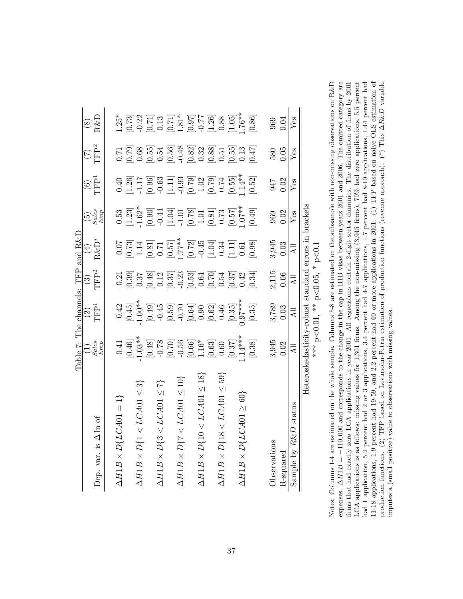<span id="page-39-0"></span>

|                                              | Table 7: The channels: TFF                                                                                                                                                                                                                                                                                                  |                                                                                                                                                                                                                                                                                                                                                   |                            | and $R\&I$                                                                                                                                                                                                                                                                                                                                   |                                                                                           |                                           |                                                                                                                                                                                                                                                                                         |                                                                                                                                                                                                                                                                                                             |
|----------------------------------------------|-----------------------------------------------------------------------------------------------------------------------------------------------------------------------------------------------------------------------------------------------------------------------------------------------------------------------------|---------------------------------------------------------------------------------------------------------------------------------------------------------------------------------------------------------------------------------------------------------------------------------------------------------------------------------------------------|----------------------------|----------------------------------------------------------------------------------------------------------------------------------------------------------------------------------------------------------------------------------------------------------------------------------------------------------------------------------------------|-------------------------------------------------------------------------------------------|-------------------------------------------|-----------------------------------------------------------------------------------------------------------------------------------------------------------------------------------------------------------------------------------------------------------------------------------------|-------------------------------------------------------------------------------------------------------------------------------------------------------------------------------------------------------------------------------------------------------------------------------------------------------------|
|                                              |                                                                                                                                                                                                                                                                                                                             | $\frac{1}{2}$                                                                                                                                                                                                                                                                                                                                     |                            |                                                                                                                                                                                                                                                                                                                                              |                                                                                           | $\overline{\text{C}}$<br>TFP <sup>1</sup> | $\frac{(\mathbf{7})}{(\mathbf{7})^2}$                                                                                                                                                                                                                                                   |                                                                                                                                                                                                                                                                                                             |
| Dep. var. is $\Delta \ln \mathrm{of}$        | $\frac{1}{E}$<br>$\frac{Sules}{Emp}$                                                                                                                                                                                                                                                                                        |                                                                                                                                                                                                                                                                                                                                                   | $\frac{(3)}{\text{TFP}^2}$ | $\begin{array}{c} (4) \\ \text{R\&D}^* \end{array}$                                                                                                                                                                                                                                                                                          | $\left(\frac{5}{Emp}\right)$                                                              |                                           |                                                                                                                                                                                                                                                                                         | $\frac{(8)}{R\&D}$                                                                                                                                                                                                                                                                                          |
|                                              |                                                                                                                                                                                                                                                                                                                             |                                                                                                                                                                                                                                                                                                                                                   |                            |                                                                                                                                                                                                                                                                                                                                              |                                                                                           |                                           |                                                                                                                                                                                                                                                                                         |                                                                                                                                                                                                                                                                                                             |
| $\Delta H1B \times D\{LCA01=1\}$             |                                                                                                                                                                                                                                                                                                                             |                                                                                                                                                                                                                                                                                                                                                   |                            |                                                                                                                                                                                                                                                                                                                                              |                                                                                           |                                           |                                                                                                                                                                                                                                                                                         |                                                                                                                                                                                                                                                                                                             |
|                                              |                                                                                                                                                                                                                                                                                                                             |                                                                                                                                                                                                                                                                                                                                                   |                            |                                                                                                                                                                                                                                                                                                                                              |                                                                                           |                                           |                                                                                                                                                                                                                                                                                         |                                                                                                                                                                                                                                                                                                             |
| $\Delta H1B \times D\{1 \leq LCA01 \leq 3\}$ |                                                                                                                                                                                                                                                                                                                             |                                                                                                                                                                                                                                                                                                                                                   |                            |                                                                                                                                                                                                                                                                                                                                              |                                                                                           |                                           |                                                                                                                                                                                                                                                                                         |                                                                                                                                                                                                                                                                                                             |
|                                              |                                                                                                                                                                                                                                                                                                                             |                                                                                                                                                                                                                                                                                                                                                   |                            |                                                                                                                                                                                                                                                                                                                                              |                                                                                           |                                           |                                                                                                                                                                                                                                                                                         |                                                                                                                                                                                                                                                                                                             |
| $\Delta H1B \times D\{3 < LCA01 \leq 7\}$    |                                                                                                                                                                                                                                                                                                                             |                                                                                                                                                                                                                                                                                                                                                   |                            |                                                                                                                                                                                                                                                                                                                                              |                                                                                           |                                           |                                                                                                                                                                                                                                                                                         |                                                                                                                                                                                                                                                                                                             |
|                                              |                                                                                                                                                                                                                                                                                                                             |                                                                                                                                                                                                                                                                                                                                                   |                            |                                                                                                                                                                                                                                                                                                                                              |                                                                                           |                                           |                                                                                                                                                                                                                                                                                         |                                                                                                                                                                                                                                                                                                             |
| $\Delta H1B \times D\{7 < LC A01 \leq 10\}$  |                                                                                                                                                                                                                                                                                                                             |                                                                                                                                                                                                                                                                                                                                                   |                            |                                                                                                                                                                                                                                                                                                                                              |                                                                                           |                                           |                                                                                                                                                                                                                                                                                         |                                                                                                                                                                                                                                                                                                             |
|                                              |                                                                                                                                                                                                                                                                                                                             |                                                                                                                                                                                                                                                                                                                                                   |                            |                                                                                                                                                                                                                                                                                                                                              |                                                                                           |                                           |                                                                                                                                                                                                                                                                                         |                                                                                                                                                                                                                                                                                                             |
| $\Delta H1B \times D\{10 < LCA01 \leq 18\}$  |                                                                                                                                                                                                                                                                                                                             |                                                                                                                                                                                                                                                                                                                                                   |                            |                                                                                                                                                                                                                                                                                                                                              |                                                                                           |                                           |                                                                                                                                                                                                                                                                                         |                                                                                                                                                                                                                                                                                                             |
|                                              |                                                                                                                                                                                                                                                                                                                             |                                                                                                                                                                                                                                                                                                                                                   |                            |                                                                                                                                                                                                                                                                                                                                              |                                                                                           |                                           |                                                                                                                                                                                                                                                                                         |                                                                                                                                                                                                                                                                                                             |
| $\Delta H1B \times D\{18 < LCA01 \leq 59\}$  |                                                                                                                                                                                                                                                                                                                             |                                                                                                                                                                                                                                                                                                                                                   |                            |                                                                                                                                                                                                                                                                                                                                              |                                                                                           |                                           |                                                                                                                                                                                                                                                                                         |                                                                                                                                                                                                                                                                                                             |
|                                              |                                                                                                                                                                                                                                                                                                                             |                                                                                                                                                                                                                                                                                                                                                   |                            |                                                                                                                                                                                                                                                                                                                                              |                                                                                           |                                           |                                                                                                                                                                                                                                                                                         |                                                                                                                                                                                                                                                                                                             |
| $\Delta H1B \times D\{LCA01 \geq 60\}$       |                                                                                                                                                                                                                                                                                                                             |                                                                                                                                                                                                                                                                                                                                                   |                            |                                                                                                                                                                                                                                                                                                                                              |                                                                                           |                                           |                                                                                                                                                                                                                                                                                         |                                                                                                                                                                                                                                                                                                             |
|                                              | $\begin{array}{r} 1.38 \\[-4pt] 1.38 \\[-4pt] 0.49 \\[-4pt] 0.48 \\[-4pt] 0.48 \\[-4pt] 0.58 \\[-4pt] 0.58 \\[-4pt] 0.58 \\[-4pt] 0.59 \\[-4pt] 0.59 \\[-4pt] 0.59 \\[-4pt] 0.59 \\[-4pt] 0.59 \\[-4pt] 0.59 \\[-4pt] 0.59 \\[-4pt] 0.59 \\[-4pt] 0.59 \\[-4pt] 0.59 \\[-4pt] 0.59 \\[-4pt] 0.59 \\[-4pt] 0.59 \\[-4pt] 0.$ | $\begin{array}{l} -0.42 \\ -0.45 \\ -1.00 \\ +0.59 \\ -0.59 \\ -0.59 \\ -0.59 \\ -0.59 \\ -0.59 \\ -0.59 \\ -0.59 \\ -0.59 \\ -0.59 \\ -0.59 \\ -0.59 \\ -0.59 \\ -0.35 \\ -0.35 \\ -0.35 \\ -0.35 \\ -0.35 \\ -0.35 \\ -0.35 \\ -0.35 \\ -0.35 \\ -0.35 \\ -0.35 \\ -0.35 \\ -0.35 \\ -0.35 \\ -0.35 \\ -0.35 \\ -0.35 \\ -0.35 \\ -0.35 \\ -0.$ |                            | $\begin{array}{l} 6.07 \\ 0.07 \\ 0.07 \\ 0.03 \\ -0.04 \\ 0.05 \\ -0.04 \\ -0.04 \\ -0.04 \\ -0.04 \\ -0.04 \\ -0.04 \\ -0.04 \\ -0.04 \\ -0.04 \\ -0.04 \\ -0.04 \\ -0.04 \\ -0.04 \\ -0.04 \\ -0.04 \\ -0.04 \\ -0.04 \\ -0.04 \\ -0.04 \\ -0.04 \\ -0.04 \\ -0.04 \\ -0.04 \\ -0.04 \\ -0.04 \\ -0.04 \\ -0.04 \\ -0.04 \\ -0.04 \\ -0.$ | 0.53<br>0.23]<br>0.33]<br>0.33]<br>0.33<br>0.33]<br>0.33<br>0.43<br>0.44<br>0.73<br>0.49] |                                           | $\begin{array}{l} 1.758 \\ 0.0000 \\ 0.00000 \\ 0.00000 \\ 0.00000 \\ 0.00000 \\ 0.00000 \\ 0.00000 \\ 0.00000 \\ 0.00000 \\ 0.00000 \\ 0.00000 \\ 0.00000 \\ 0.00000 \\ 0.00000 \\ 0.00000 \\ 0.00000 \\ 0.00000 \\ 0.00000 \\ 0.00000 \\ 0.00000 \\ 0.00000 \\ 0.00000 \\ 0.00000 \\$ | $\begin{array}{l} 1.25^* \\ 1.25^* \\ 0.73 \\ 0.22 \\ 0.11 \\ 0.32 \\ 0.11 \\ 0.23 \\ 0.33 \\ 0.43 \\ 0.54 \\ 0.55 \\ 0.57 \\ 0.57 \\ 0.57 \\ 0.58 \\ 0.57 \\ 0.59 \\ 0.53 \\ 0.59 \\ 0.59 \\ 0.59 \\ 0.59 \\ 0.59 \\ 0.59 \\ 0.59 \\ 0.59 \\ 0.59 \\ 0.59 \\ 0.59 \\ 0.59 \\ 0.59 \\ 0.59 \\ 0.59 \\ 0.59$ |
| Observations                                 |                                                                                                                                                                                                                                                                                                                             |                                                                                                                                                                                                                                                                                                                                                   |                            |                                                                                                                                                                                                                                                                                                                                              |                                                                                           |                                           |                                                                                                                                                                                                                                                                                         | 969                                                                                                                                                                                                                                                                                                         |
| $R$ -squared                                 | $3,945$<br>$0.02$                                                                                                                                                                                                                                                                                                           | $3,789$<br>0.03                                                                                                                                                                                                                                                                                                                                   | 2,115<br>0.06              | $3,945$<br>$0.03$                                                                                                                                                                                                                                                                                                                            | 969<br>0.02                                                                               | 947<br>0.02                               | 580<br>0.05                                                                                                                                                                                                                                                                             | 0.04                                                                                                                                                                                                                                                                                                        |
| Sample by $R\&D$ status                      | Ę                                                                                                                                                                                                                                                                                                                           | $\overline{AB}$                                                                                                                                                                                                                                                                                                                                   | Ę                          | ₹                                                                                                                                                                                                                                                                                                                                            | Yes                                                                                       | Yes                                       | Yes                                                                                                                                                                                                                                                                                     | $Y$ es                                                                                                                                                                                                                                                                                                      |
|                                              | Heteroskedasticity-robust standard errors in brackets                                                                                                                                                                                                                                                                       |                                                                                                                                                                                                                                                                                                                                                   |                            |                                                                                                                                                                                                                                                                                                                                              |                                                                                           |                                           |                                                                                                                                                                                                                                                                                         |                                                                                                                                                                                                                                                                                                             |
|                                              |                                                                                                                                                                                                                                                                                                                             | *** $p<0.01$ , ** $p<0.05$ , * $p<0.1$                                                                                                                                                                                                                                                                                                            |                            |                                                                                                                                                                                                                                                                                                                                              |                                                                                           |                                           |                                                                                                                                                                                                                                                                                         |                                                                                                                                                                                                                                                                                                             |

Notes: Columns 1-4 are estimated on the whole sample. Columns 5-8 are estimated on the subsample with non-missing observations on R&D expenses.  $\Delta H1B = -110,000$  and corresponds to the change in the cap in H1B visas betwee LCA applications is as follows: missing values for 1,301 firms. Among the non-missing (3,945 firms), 79% had zero applications, 5.5 percent 11-18 applications, 1.9 percent had 19-59, and 2.2 percent had 60 or more applications in 2001. (1) TFP based on naive OLS estimation of production functions. (2) TFP based on 1.6 A&D variable firms that had exactly zero LCA applications in year 2001. All regressions contain 2-digit sector dummies. The distribution of firms by 2001 had 1 application, 5.2 percent had 2 or 3 applications, 3.4 percent had 4-7 applications, 1.7 percent had 8-10 applications, 1.44 percent had 11-18 applications, 1.9 percent had 19-59, and 2.2 percent had 60 or more applications in 2001. (1) TFP based on naive OLS estimation of Notes: Columns 1-4 are estimated on the whole sample. Columns 5-8 are estimated on the subsample with non-missing observations on R&D expenses.  $\Delta H1B = -110,000$  and corresponds to the change in the cap in H1B visas between years 2001 and 2006. The omitted category are correspondent of the control of the correspondence of the correspondence of the corres firms that had exactly zero LCA applications in year 2001. All regressions contain 2-digit sector dummies. The distribution of firms by 2001 LCA applications is as follows: missing values for 1,301 firms. Among the non-missing (3,945 firms), 79% had zero applications, 5.5 percent had 1 application, 5.2 percent had 2 or 3 applications, 3.4 percent had 4-7 applications, 1.7 percent had 8-10 applications, 1.44 percent had production functions. (2) TFP based on Levinsohn-Petrin estimation of production functions (revenue approach). (\*) This ∆R&D variable imputes a (small positive) value to observations with missing values. imputes a (small positive) value to observations with missing values.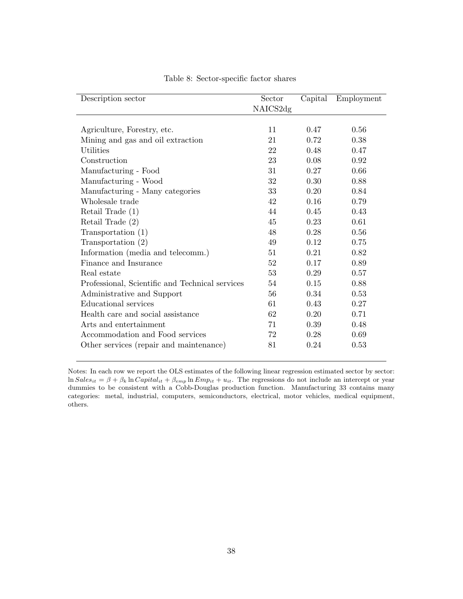<span id="page-40-0"></span>

| Description sector                              | Sector   | Capital | Employment |
|-------------------------------------------------|----------|---------|------------|
|                                                 | NAICS2dg |         |            |
|                                                 |          |         |            |
| Agriculture, Forestry, etc.                     | 11       | 0.47    | 0.56       |
| Mining and gas and oil extraction               | 21       | 0.72    | 0.38       |
| Utilities                                       | 22       | 0.48    | 0.47       |
| Construction                                    | 23       | 0.08    | 0.92       |
| Manufacturing - Food                            | 31       | 0.27    | 0.66       |
| Manufacturing - Wood                            | 32       | 0.30    | 0.88       |
| Manufacturing - Many categories                 | 33       | 0.20    | 0.84       |
| Wholesale trade                                 | 42       | 0.16    | 0.79       |
| Retail Trade $(1)$                              | 44       | 0.45    | 0.43       |
| Retail Trade $(2)$                              | 45       | 0.23    | 0.61       |
| Transportation (1)                              | 48       | 0.28    | 0.56       |
| Transportation $(2)$                            | 49       | 0.12    | 0.75       |
| Information (media and telecomm.)               | 51       | 0.21    | 0.82       |
| Finance and Insurance                           | 52       | 0.17    | 0.89       |
| Real estate                                     | 53       | 0.29    | 0.57       |
| Professional, Scientific and Technical services | 54       | 0.15    | 0.88       |
| Administrative and Support                      | 56       | 0.34    | 0.53       |
| Educational services                            | 61       | 0.43    | 0.27       |
| Health care and social assistance               | 62       | 0.20    | 0.71       |
| Arts and entertainment                          | 71       | 0.39    | 0.48       |
| Accommodation and Food services                 | 72       | 0.28    | 0.69       |
| Other services (repair and maintenance)         | 81       | 0.24    | 0.53       |

Table 8: Sector-specific factor shares

Notes: In each row we report the OLS estimates of the following linear regression estimated sector by sector:  $\ln Sales_{it} = \beta + \beta_k \ln Capital_{it} + \beta_{emp} \ln Emp_{it} + u_{it}$ . The regressions do not include an intercept or year dummies to be consistent with a Cobb-Douglas production function. Manufacturing 33 contains many categories: metal, industrial, computers, semiconductors, electrical, motor vehicles, medical equipment, others.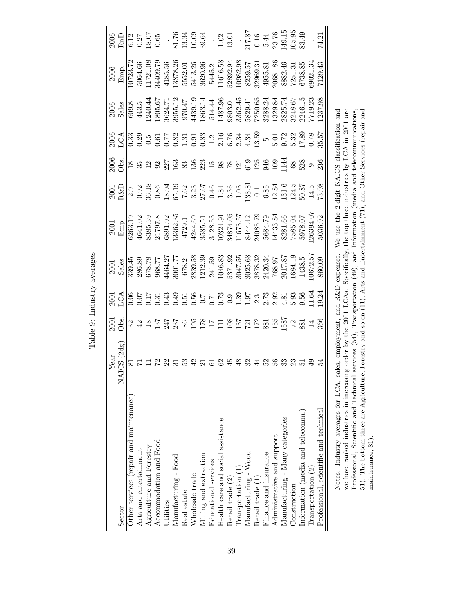<span id="page-41-0"></span>

| చి<br>הדדה מית היהר |
|---------------------|
|                     |
| $\dot{\phantom{0}}$ |
| Ĵ                   |

| Sector                                  | $\begin{array}{c}{\rm Year} \\ {\rm NALCS~(2dg)}\\ \hline 81\\ 71\\ 11\\ 22\\ 31\\ 33\\ 88\\ \end{array}$ | $\frac{1}{100}$ s $\frac{1}{100}$ s $\frac{1}{100}$ s $\frac{1}{100}$ s $\frac{1}{100}$ s $\frac{1}{100}$ s $\frac{1}{100}$ s $\frac{1}{100}$ s $\frac{1}{100}$ s $\frac{1}{100}$ s $\frac{1}{100}$ s $\frac{1}{100}$ s $\frac{1}{100}$ s $\frac{1}{100}$ s $\frac{1}{100}$ s $\frac{1}{100}$ |                          | $\begin{array}{r l} \hline & 2001 \\ \hline 8 \text{ } 99.45 \\ \hline 339.45 \\ 678.78 \\ 678.77 \\ 77.77 \\ 8001.77 \\ 968.71 \\ 241.59 \\ 678.2 \\ 241.59 \\ 241.59 \\ 241.59 \\ 3025.68 \\ 3220.34 \\ 1046.32 \\ 368.32 \\ 768.37 \\ 768.11 \\ 1045.85 \\ 768.37 \\ 768.11 \\ 1047.87 \\ 768.11 \\ 1$ | $\begin{array}{ l l l l l } \hline & 2001 & \\ \hline \text{Emp.} & 441.02 & 836.35 \\ \hline 6263.19 & 4541.02 & 1797.8 \\ \hline 6385.39 & 21797.8 & 511.03 \\ \hline 6391.92 & 4729.1 & 4729.1 \\ \hline 44244.69 & 3585.51 & 5173.57 \\ \hline 54244.69 & 3585.51 & 5173.57 \\ \hline 6385.7 & 5173.5$ | $\frac{18}{18}$ $\frac{8}{18}$ $\frac{18}{18}$ $\frac{18}{18}$ $\frac{18}{18}$ $\frac{18}{18}$ $\frac{18}{18}$ $\frac{18}{18}$ $\frac{18}{18}$ $\frac{18}{18}$ $\frac{18}{18}$ $\frac{18}{18}$ $\frac{18}{18}$ $\frac{18}{18}$ $\frac{18}{18}$ $\frac{18}{18}$ $\frac{18}{18}$ $\frac{18}{18}$ $\frac{18$ |                                                                                                                                                                                                                                                                                                                          |                                                                                                                                                                                                                                                                                                           |  |
|-----------------------------------------|-----------------------------------------------------------------------------------------------------------|-----------------------------------------------------------------------------------------------------------------------------------------------------------------------------------------------------------------------------------------------------------------------------------------------|--------------------------|-----------------------------------------------------------------------------------------------------------------------------------------------------------------------------------------------------------------------------------------------------------------------------------------------------------|------------------------------------------------------------------------------------------------------------------------------------------------------------------------------------------------------------------------------------------------------------------------------------------------------------|-----------------------------------------------------------------------------------------------------------------------------------------------------------------------------------------------------------------------------------------------------------------------------------------------------------|--------------------------------------------------------------------------------------------------------------------------------------------------------------------------------------------------------------------------------------------------------------------------------------------------------------------------|-----------------------------------------------------------------------------------------------------------------------------------------------------------------------------------------------------------------------------------------------------------------------------------------------------------|--|
| Other services (repair and maintenance) |                                                                                                           |                                                                                                                                                                                                                                                                                               |                          |                                                                                                                                                                                                                                                                                                           |                                                                                                                                                                                                                                                                                                            |                                                                                                                                                                                                                                                                                                           |                                                                                                                                                                                                                                                                                                                          |                                                                                                                                                                                                                                                                                                           |  |
| Arts and entertainment                  |                                                                                                           |                                                                                                                                                                                                                                                                                               |                          |                                                                                                                                                                                                                                                                                                           |                                                                                                                                                                                                                                                                                                            |                                                                                                                                                                                                                                                                                                           |                                                                                                                                                                                                                                                                                                                          |                                                                                                                                                                                                                                                                                                           |  |
| Agriculture and Forestry                |                                                                                                           |                                                                                                                                                                                                                                                                                               |                          |                                                                                                                                                                                                                                                                                                           |                                                                                                                                                                                                                                                                                                            |                                                                                                                                                                                                                                                                                                           |                                                                                                                                                                                                                                                                                                                          |                                                                                                                                                                                                                                                                                                           |  |
| Accommodation and Food                  |                                                                                                           |                                                                                                                                                                                                                                                                                               |                          |                                                                                                                                                                                                                                                                                                           |                                                                                                                                                                                                                                                                                                            |                                                                                                                                                                                                                                                                                                           |                                                                                                                                                                                                                                                                                                                          |                                                                                                                                                                                                                                                                                                           |  |
| <b>Jtilities</b>                        |                                                                                                           |                                                                                                                                                                                                                                                                                               |                          |                                                                                                                                                                                                                                                                                                           |                                                                                                                                                                                                                                                                                                            |                                                                                                                                                                                                                                                                                                           |                                                                                                                                                                                                                                                                                                                          |                                                                                                                                                                                                                                                                                                           |  |
| $M$ anufacturing - Food                 |                                                                                                           |                                                                                                                                                                                                                                                                                               |                          |                                                                                                                                                                                                                                                                                                           |                                                                                                                                                                                                                                                                                                            |                                                                                                                                                                                                                                                                                                           |                                                                                                                                                                                                                                                                                                                          |                                                                                                                                                                                                                                                                                                           |  |
| Real estate                             |                                                                                                           |                                                                                                                                                                                                                                                                                               |                          |                                                                                                                                                                                                                                                                                                           |                                                                                                                                                                                                                                                                                                            |                                                                                                                                                                                                                                                                                                           |                                                                                                                                                                                                                                                                                                                          |                                                                                                                                                                                                                                                                                                           |  |
| Wholesale trade                         |                                                                                                           |                                                                                                                                                                                                                                                                                               |                          |                                                                                                                                                                                                                                                                                                           |                                                                                                                                                                                                                                                                                                            |                                                                                                                                                                                                                                                                                                           |                                                                                                                                                                                                                                                                                                                          |                                                                                                                                                                                                                                                                                                           |  |
| Mining and extraction                   | $\overline{\Omega}$                                                                                       |                                                                                                                                                                                                                                                                                               |                          |                                                                                                                                                                                                                                                                                                           |                                                                                                                                                                                                                                                                                                            |                                                                                                                                                                                                                                                                                                           |                                                                                                                                                                                                                                                                                                                          |                                                                                                                                                                                                                                                                                                           |  |
| Educational services                    |                                                                                                           |                                                                                                                                                                                                                                                                                               |                          |                                                                                                                                                                                                                                                                                                           |                                                                                                                                                                                                                                                                                                            |                                                                                                                                                                                                                                                                                                           |                                                                                                                                                                                                                                                                                                                          |                                                                                                                                                                                                                                                                                                           |  |
| Health care and social assistance       |                                                                                                           |                                                                                                                                                                                                                                                                                               |                          |                                                                                                                                                                                                                                                                                                           |                                                                                                                                                                                                                                                                                                            |                                                                                                                                                                                                                                                                                                           |                                                                                                                                                                                                                                                                                                                          |                                                                                                                                                                                                                                                                                                           |  |
| Retail trade (2)                        |                                                                                                           |                                                                                                                                                                                                                                                                                               |                          |                                                                                                                                                                                                                                                                                                           |                                                                                                                                                                                                                                                                                                            |                                                                                                                                                                                                                                                                                                           |                                                                                                                                                                                                                                                                                                                          |                                                                                                                                                                                                                                                                                                           |  |
| Transportation (1)                      |                                                                                                           |                                                                                                                                                                                                                                                                                               |                          |                                                                                                                                                                                                                                                                                                           |                                                                                                                                                                                                                                                                                                            |                                                                                                                                                                                                                                                                                                           |                                                                                                                                                                                                                                                                                                                          |                                                                                                                                                                                                                                                                                                           |  |
| $M$ anufacturing - $W$ ood              | 6 8 4 4 5 4 5 5 6 5 6 7 5 9 7                                                                             |                                                                                                                                                                                                                                                                                               |                          |                                                                                                                                                                                                                                                                                                           |                                                                                                                                                                                                                                                                                                            |                                                                                                                                                                                                                                                                                                           |                                                                                                                                                                                                                                                                                                                          |                                                                                                                                                                                                                                                                                                           |  |
| Retail trade (1)                        |                                                                                                           |                                                                                                                                                                                                                                                                                               |                          |                                                                                                                                                                                                                                                                                                           |                                                                                                                                                                                                                                                                                                            |                                                                                                                                                                                                                                                                                                           |                                                                                                                                                                                                                                                                                                                          |                                                                                                                                                                                                                                                                                                           |  |
| Finance and insurance                   |                                                                                                           |                                                                                                                                                                                                                                                                                               |                          |                                                                                                                                                                                                                                                                                                           |                                                                                                                                                                                                                                                                                                            |                                                                                                                                                                                                                                                                                                           |                                                                                                                                                                                                                                                                                                                          |                                                                                                                                                                                                                                                                                                           |  |
| Administrative and support              |                                                                                                           |                                                                                                                                                                                                                                                                                               |                          |                                                                                                                                                                                                                                                                                                           |                                                                                                                                                                                                                                                                                                            |                                                                                                                                                                                                                                                                                                           |                                                                                                                                                                                                                                                                                                                          |                                                                                                                                                                                                                                                                                                           |  |
| Manufacturing - Many categories         |                                                                                                           |                                                                                                                                                                                                                                                                                               |                          |                                                                                                                                                                                                                                                                                                           |                                                                                                                                                                                                                                                                                                            |                                                                                                                                                                                                                                                                                                           |                                                                                                                                                                                                                                                                                                                          |                                                                                                                                                                                                                                                                                                           |  |
| Construction                            |                                                                                                           |                                                                                                                                                                                                                                                                                               |                          |                                                                                                                                                                                                                                                                                                           |                                                                                                                                                                                                                                                                                                            |                                                                                                                                                                                                                                                                                                           |                                                                                                                                                                                                                                                                                                                          |                                                                                                                                                                                                                                                                                                           |  |
| Information (media and telecomm.)       |                                                                                                           |                                                                                                                                                                                                                                                                                               |                          |                                                                                                                                                                                                                                                                                                           |                                                                                                                                                                                                                                                                                                            |                                                                                                                                                                                                                                                                                                           |                                                                                                                                                                                                                                                                                                                          |                                                                                                                                                                                                                                                                                                           |  |
| Transportation (2)                      |                                                                                                           |                                                                                                                                                                                                                                                                                               |                          |                                                                                                                                                                                                                                                                                                           |                                                                                                                                                                                                                                                                                                            |                                                                                                                                                                                                                                                                                                           |                                                                                                                                                                                                                                                                                                                          |                                                                                                                                                                                                                                                                                                           |  |
| Professional, scientific and technical  |                                                                                                           |                                                                                                                                                                                                                                                                                               |                          |                                                                                                                                                                                                                                                                                                           |                                                                                                                                                                                                                                                                                                            |                                                                                                                                                                                                                                                                                                           | $\begin{array}{l l} 0 & 0 & 0 & 0 & 0 \\ 0 & 0 & 0 & 0 & 0 & 0 \\ 0 & 0 & 0 & 0 & 0 & 0 \\ 0 & 0 & 0 & 0 & 0 & 0 \\ 0 & 0 & 0 & 0 & 0 & 0 \\ 0 & 0 & 0 & 0 & 0 & 0 \\ 0 & 0 & 0 & 0 & 0 & 0 \\ 0 & 0 & 0 & 0 & 0 & 0 \\ 0 & 0 & 0 & 0 & 0 & 0 \\ 0 & 0 & 0 & 0 & 0 & 0 \\ 0 & 0 & 0 & 0 & 0 & 0 \\ 0 & 0 & 0 & 0 & 0 & $ | $\begin{array}{r l} \hline & 2006 \\ \hline \text{Fmp.} \\ \hline \text{I5} \\ 10723.72 \\ 11721.08 \\ 34409.79 \\ 4185.56 \\ 5552.01 \\ 13878.26 \\ 5552.01 \\ 1616.58 \\ 5445.2 \\ 11616.58 \\ 5445.2 \\ 11616.58 \\ 52892.98 \\ 2082.31 \\ 11616.58 \\ 52895.31 \\ 11616.58 \\ 8259.51 \\ 7251.31 \\ $ |  |
|                                         |                                                                                                           |                                                                                                                                                                                                                                                                                               | $\alpha$ Bl <sub>r</sub> | ownonc                                                                                                                                                                                                                                                                                                    | ING 1400 Hotel NATO 2006 Section: Continues                                                                                                                                                                                                                                                                |                                                                                                                                                                                                                                                                                                           |                                                                                                                                                                                                                                                                                                                          |                                                                                                                                                                                                                                                                                                           |  |

Notes: Industry averages for LCA, sales, employment, and R&D expenses. We use the 2-digit NAICS classification and<br>we have ranked industries in increasing order by the 2001 LCAs. Specifically, the top three industries by Notes: Industry averages for LCA, sales, employment, and R&D expenses. We use the 2-digit NAICS classification and we have ranked industries in increasing order by the 2001 LCAs. Specifically, the top three industries by LCA in 2001 are Professional, Scientific and Technical services (54), Transportation (49), and Information (media and telecommunications, 51). The bottom three are Agriculture, Forestry and so on (11), Arts and Entertainment (71), and Other Services (repair and maintenance, 81).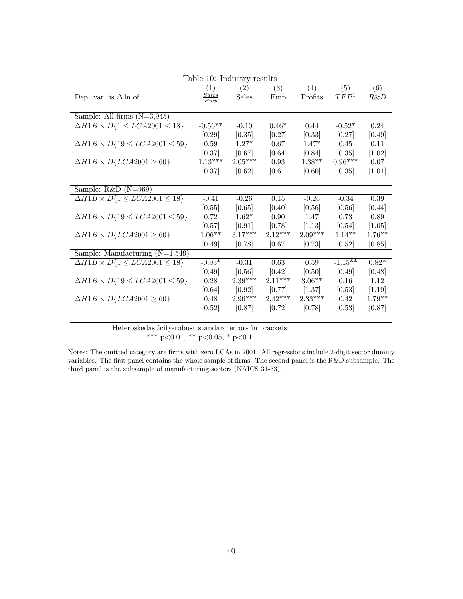<span id="page-42-0"></span>

|                                                 |                     | Table 10: Industry results |           |           |                  |                  |
|-------------------------------------------------|---------------------|----------------------------|-----------|-----------|------------------|------------------|
|                                                 | $\left( 1\right)$   | (2)                        | (3)       | (4)       | $\overline{(5)}$ | $\overline{(6)}$ |
| Dep. var. is $\Delta \ln \text{ of}$            | <b>Sales</b><br>Emp | <b>Sales</b>               | Emp       | Profits   | TFP <sup>1</sup> | $R\&D$           |
|                                                 |                     |                            |           |           |                  |                  |
| Sample: All firms $(N=3,945)$                   |                     |                            |           |           |                  |                  |
| $\Delta H1B \times D\{1 \leq LCA2001 \leq 18\}$ | $-0.56**$           | $-0.10$                    | $0.46*$   | 0.44      | $-0.52*$         | 0.24             |
|                                                 | [0.29]              | [0.35]                     | [0.27]    | [0.33]    | [0.27]           | [0.49]           |
| $\Delta H1B \times D\{19 \le LCA2001 \le 59\}$  | 0.59                | $1.27*$                    | 0.67      | $1.47*$   | 0.45             | 0.11             |
|                                                 | [0.37]              | [0.67]                     | [0.64]    | [0.84]    | [0.35]           | $[1.02]$         |
| $\Delta H1B \times D\{LCA2001 \geq 60\}$        | $1.13***$           | $2.05***$                  | 0.93      | $1.38**$  | $0.96***$        | 0.07             |
|                                                 | [0.37]              | [0.62]                     | [0.61]    | [0.60]    | [0.35]           | $[1.01]$         |
|                                                 |                     |                            |           |           |                  |                  |
| Sample: $R&D(N=969)$                            |                     |                            |           |           |                  |                  |
| $\Delta H1B \times D\{1 \leq LCA2001 \leq 18\}$ | $-0.41$             | $-0.26$                    | 0.15      | $-0.26$   | $-0.34$          | $0.39\,$         |
|                                                 | [0.55]              | [0.65]                     | [0.40]    | [0.56]    | [0.56]           | [0.44]           |
| $\Delta H1B \times D\{19 \le LCA2001 \le 59\}$  | 0.72                | $1.62*$                    | 0.90      | 1.47      | 0.73             | 0.89             |
|                                                 | [0.57]              | [0.91]                     | [0.78]    | $[1.13]$  | [0.54]           | [1.05]           |
| $\Delta H1B \times D\{LCA2001 \geq 60\}$        | $1.06**$            | $3.17***$                  | $2.12***$ | $2.09***$ | $1.14**$         | $1.76**$         |
|                                                 | [0.49]              | [0.78]                     | [0.67]    | [0.73]    | [0.52]           | [0.85]           |
| Sample: Manufacturing $(N=1,549)$               |                     |                            |           |           |                  |                  |
| $\Delta H1B \times D\{1 \leq LCA2001 \leq 18\}$ | $-0.93*$            | $-0.31$                    | $0.63\,$  | $0.59\,$  | $-1.15**$        | $0.82*$          |
|                                                 | [0.49]              | [0.56]                     | [0.42]    | [0.50]    | [0.49]           | [0.48]           |
| $\Delta H1B \times D\{19 \le LCA2001 \le 59\}$  | 0.28                | $2.39***$                  | $2.11***$ | $3.06**$  | 0.16             | 1.12             |
|                                                 | [0.64]              | [0.92]                     | [0.77]    | [1.37]    | [0.53]           | [1.19]           |
| $\Delta H1B \times D\{LCA2001 \geq 60\}$        | 0.48                | $2.90***$                  | $2.42***$ | $2.33***$ | 0.42             | $1.79**$         |
|                                                 | [0.52]              | [0.87]                     | [0.72]    | [0.78]    | [0.53]           | [0.87]           |
|                                                 |                     |                            |           |           |                  |                  |

Heteroskedasticity-robust standard errors in brackets \*\*\* p<0.01, \*\* p<0.05, \* p<0.1

Notes: The omitted category are firms with zero LCAs in 2001. All regressions include 2-digit sector dummy variables. The first panel contains the whole sample of firms. The second panel is the R&D subsample. The third panel is the subsample of manufacturing sectors (NAICS 31-33).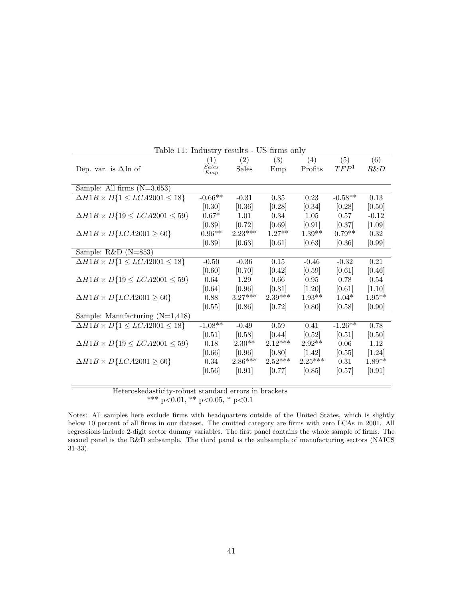<span id="page-43-0"></span>

|                                                          | (1)                 | (2)       | (3)       | (4)       | (5)              | (6)      |
|----------------------------------------------------------|---------------------|-----------|-----------|-----------|------------------|----------|
| Dep. var. is $\Delta \ln \text{ of}$                     | $\frac{Sales}{Emp}$ | Sales     | Emp       | Profits   | TFP <sup>1</sup> | R&D      |
|                                                          |                     |           |           |           |                  |          |
| Sample: All firms $(N=3,653)$                            |                     |           |           |           |                  |          |
| $\overline{\Delta H1B} \times D\{1 \le LCA2001 \le 18\}$ | $-0.66**$           | $-0.31$   | $0.35\,$  | 0.23      | $-0.58**$        | 0.13     |
|                                                          | [0.30]              | [0.36]    | [0.28]    | [0.34]    | [0.28]           | [0.50]   |
| $\Delta H1B \times D\{19 \le LCA2001 \le 59\}$           | $0.67*$             | 1.01      | 0.34      | 1.05      | 0.57             | $-0.12$  |
|                                                          | [0.39]              | [0.72]    | [0.69]    | [0.91]    | [0.37]           | $[1.09]$ |
| $\Delta H1B \times D\{LCA2001 \geq 60\}$                 | $0.96**$            | $2.23***$ | $1.27**$  | $1.39**$  | $0.79**$         | 0.32     |
|                                                          | [0.39]              | [0.63]    | [0.61]    | [0.63]    | [0.36]           | [0.99]   |
| Sample: $R&D(N=853)$                                     |                     |           |           |           |                  |          |
| $\Delta H1B \times D\{1 \leq LCA2001 \leq 18\}$          | $-0.50$             | $-0.36$   | 0.15      | $-0.46$   | $-0.32$          | 0.21     |
|                                                          | [0.60]              | [0.70]    | [0.42]    | [0.59]    | [0.61]           | [0.46]   |
| $\Delta H1B \times D\{19 \le LCA2001 \le 59\}$           | 0.64                | 1.29      | 0.66      | 0.95      | 0.78             | 0.54     |
|                                                          | [0.64]              | [0.96]    | [0.81]    | $[1.20]$  | [0.61]           | [1.10]   |
| $\Delta H1B \times D\{LCA2001 \geq 60\}$                 | 0.88                | $3.27***$ | $2.39***$ | $1.93**$  | $1.04*$          | $1.95**$ |
|                                                          | [0.55]              | [0.86]    | [0.72]    | [0.80]    | [0.58]           | [0.90]   |
| Sample: Manufacturing $(N=1,418)$                        |                     |           |           |           |                  |          |
| $\Delta H1B \times D\{1 \leq LCA2001 \leq 18\}$          | $-1.08**$           | $-0.49$   | 0.59      | 0.41      | $-1.26**$        | 0.78     |
|                                                          | [0.51]              | [0.58]    | [0.44]    | [0.52]    | [0.51]           | [0.50]   |
| $\Delta H1B \times D\{19 \le LCA2001 \le 59\}$           | 0.18                | $2.30**$  | $2.12***$ | $2.92**$  | 0.06             | 1.12     |
|                                                          | [0.66]              | [0.96]    | [0.80]    | [1.42]    | [0.55]           | $[1.24]$ |
| $\Delta H1B \times D\{LCA2001 \geq 60\}$                 | 0.34                | $2.86***$ | $2.52***$ | $2.25***$ | 0.31             | $1.89**$ |
|                                                          | [0.56]              | [0.91]    | [0.77]    | [0.85]    | [0.57]           | [0.91]   |
|                                                          |                     |           |           |           |                  |          |

Table 11: Industry results - US firms only

Heteroskedasticity-robust standard errors in brackets \*\*\* p<0.01, \*\* p<0.05, \* p<0.1

Notes: All samples here exclude firms with headquarters outside of the United States, which is slightly below 10 percent of all firms in our dataset. The omitted category are firms with zero LCAs in 2001. All regressions include 2-digit sector dummy variables. The first panel contains the whole sample of firms. The second panel is the R&D subsample. The third panel is the subsample of manufacturing sectors (NAICS 31-33).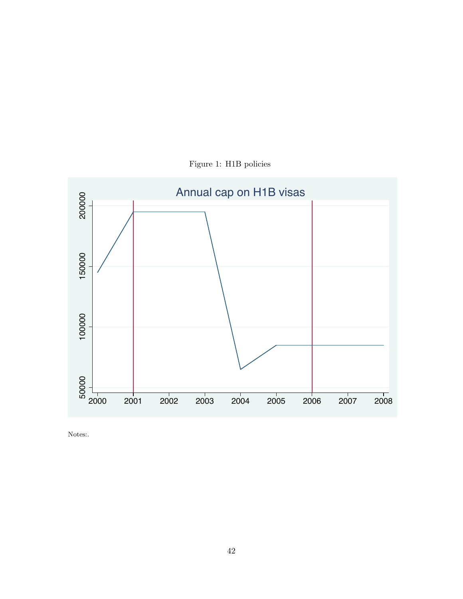<span id="page-44-0"></span>

Figure 1: H1B policies

Notes:.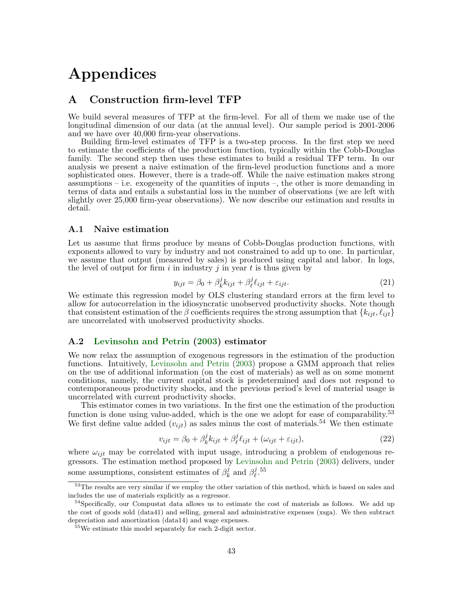# Appendices

### A Construction firm-level TFP

We build several measures of TFP at the firm-level. For all of them we make use of the longitudinal dimension of our data (at the annual level). Our sample period is 2001-2006 and we have over 40,000 firm-year observations.

Building firm-level estimates of TFP is a two-step process. In the first step we need to estimate the coefficients of the production function, typically within the Cobb-Douglas family. The second step then uses these estimates to build a residual TFP term. In our analysis we present a naive estimation of the firm-level production functions and a more sophisticated ones. However, there is a trade-off. While the naive estimation makes strong assumptions – i.e. exogeneity of the quantities of inputs –, the other is more demanding in terms of data and entails a substantial loss in the number of observations (we are left with slightly over 25,000 firm-year observations). We now describe our estimation and results in detail.

#### A.1 Naive estimation

Let us assume that firms produce by means of Cobb-Douglas production functions, with exponents allowed to vary by industry and not constrained to add up to one. In particular, we assume that output (measured by sales) is produced using capital and labor. In logs, the level of output for firm i in industry j in year t is thus given by

$$
y_{ijt} = \beta_0 + \beta_k^j k_{ijt} + \beta_\ell^j \ell_{ijt} + \varepsilon_{ijt}.
$$
 (21)

We estimate this regression model by OLS clustering standard errors at the firm level to allow for autocorrelation in the idiosyncratic unobserved productivity shocks. Note though that consistent estimation of the β coefficients requires the strong assumption that  $\{k_{iit}, \ell_{iit}\}$ are uncorrelated with unobserved productivity shocks.

#### A.2 [Levinsohn and Petrin](#page-32-16) [\(2003\)](#page-32-16) estimator

We now relax the assumption of exogenous regressors in the estimation of the production functions. Intuitively, [Levinsohn and Petrin](#page-32-16) [\(2003\)](#page-32-16) propose a GMM approach that relies on the use of additional information (on the cost of materials) as well as on some moment conditions, namely, the current capital stock is predetermined and does not respond to contemporaneous productivity shocks, and the previous period's level of material usage is uncorrelated with current productivity shocks.

This estimator comes in two variations. In the first one the estimation of the production function is done using value-added, which is the one we adopt for ease of comparability.<sup>53</sup> We first define value added  $(v_{ijt})$  as sales minus the cost of materials.<sup>54</sup> We then estimate

$$
v_{ijt} = \beta_0 + \beta_k^j k_{ijt} + \beta_\ell^j \ell_{ijt} + (\omega_{ijt} + \varepsilon_{ijt}), \qquad (22)
$$

where  $\omega_{ijt}$  may be correlated with input usage, introducing a problem of endogenous regressors. The estimation method proposed by [Levinsohn and Petrin](#page-32-16) [\(2003\)](#page-32-16) delivers, under some assumptions, consistent estimates of  $\beta_k^j$  $\frac{j}{k}$  and  $\beta_{\ell}^{j}$  $_{\ell}^{j}$ .55

<sup>&</sup>lt;sup>53</sup>The results are very similar if we employ the other variation of this method, which is based on sales and includes the use of materials explicitly as a regressor.

<sup>&</sup>lt;sup>54</sup>Specifically, our Compustat data allows us to estimate the cost of materials as follows. We add up the cost of goods sold (data41) and selling, general and administrative expenses (xsga). We then subtract depreciation and amortization (data14) and wage expenses.

<sup>&</sup>lt;sup>55</sup>We estimate this model separately for each 2-digit sector.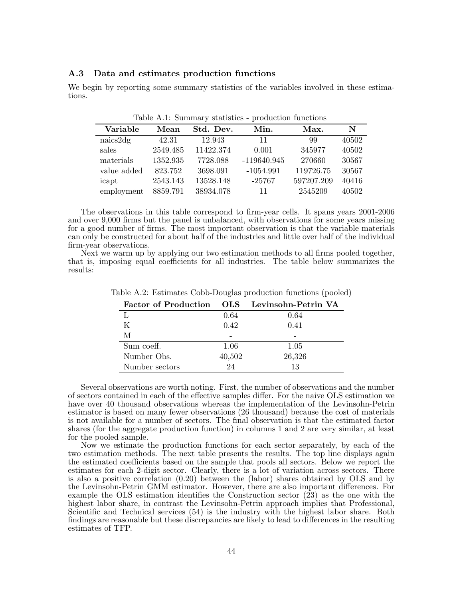#### A.3 Data and estimates production functions

We begin by reporting some summary statistics of the variables involved in these estimations.

Table A.1: Summary statistics - production functions

| Variable    | Mean     | Std. Dev. | Min.          | Max.       | N     |
|-------------|----------|-----------|---------------|------------|-------|
| naics2dg    | 42.31    | 12.943    | 11            | 99         | 40502 |
| sales       | 2549.485 | 11422.374 | 0.001         | 345977     | 40502 |
| materials   | 1352.935 | 7728.088  | $-119640.945$ | 270660     | 30567 |
| value added | 823.752  | 3698.091  | $-1054.991$   | 119726.75  | 30567 |
| icapt       | 2543.143 | 13528.148 | $-25767$      | 597207.209 | 40416 |
| employment  | 8859.791 | 38934.078 | 11            | 2545209    | 40502 |

The observations in this table correspond to firm-year cells. It spans years 2001-2006 and over 9,000 firms but the panel is unbalanced, with observations for some years missing for a good number of firms. The most important observation is that the variable materials can only be constructed for about half of the industries and little over half of the individual firm-year observations.

Next we warm up by applying our two estimation methods to all firms pooled together, that is, imposing equal coefficients for all industries. The table below summarizes the results:

|                             |        | <b>A</b>            |
|-----------------------------|--------|---------------------|
| <b>Factor of Production</b> | OLS    | Levinsohn-Petrin VA |
|                             | 0.64   | 0.64                |
| K                           | 0.42   | 0.41                |
| М                           |        |                     |
| Sum coeff.                  | 1.06   | 1.05                |
| Number Obs.                 | 40,502 | 26,326              |
| Number sectors              | 24     | 13                  |

Table A.2: Estimates Cobb-Douglas production functions (pooled)

Several observations are worth noting. First, the number of observations and the number of sectors contained in each of the effective samples differ. For the naive OLS estimation we have over 40 thousand observations whereas the implementation of the Levinsohn-Petrin estimator is based on many fewer observations (26 thousand) because the cost of materials is not available for a number of sectors. The final observation is that the estimated factor shares (for the aggregate production function) in columns 1 and 2 are very similar, at least for the pooled sample.

Now we estimate the production functions for each sector separately, by each of the two estimation methods. The next table presents the results. The top line displays again the estimated coefficients based on the sample that pools all sectors. Below we report the estimates for each 2-digit sector. Clearly, there is a lot of variation across sectors. There is also a positive correlation (0.20) between the (labor) shares obtained by OLS and by the Levinsohn-Petrin GMM estimator. However, there are also important differences. For example the OLS estimation identifies the Construction sector (23) as the one with the highest labor share, in contrast the Levinsohn-Petrin approach implies that Professional, Scientific and Technical services (54) is the industry with the highest labor share. Both findings are reasonable but these discrepancies are likely to lead to differences in the resulting estimates of TFP.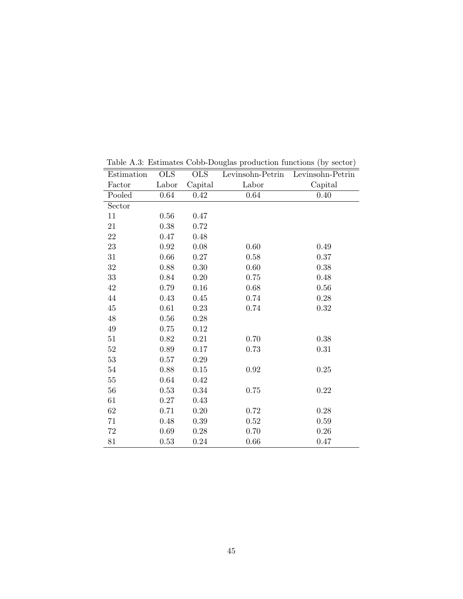| Estimation | <b>OLS</b> | <b>OLS</b> | Levinsohn-Petrin | Levinsohn-Petrin |
|------------|------------|------------|------------------|------------------|
| Factor     | Labor      | Capital    | Labor            | Capital          |
| Pooled     | 0.64       | 0.42       | $0.64\,$         | 0.40             |
| Sector     |            |            |                  |                  |
| 11         | $0.56\,$   | 0.47       |                  |                  |
| 21         | 0.38       | 0.72       |                  |                  |
| 22         | 0.47       | 0.48       |                  |                  |
| $23\,$     | 0.92       | 0.08       | 0.60             | 0.49             |
| $31\,$     | 0.66       | 0.27       | 0.58             | 0.37             |
| $32\,$     | 0.88       | 0.30       | 0.60             | 0.38             |
| 33         | 0.84       | 0.20       | 0.75             | 0.48             |
| $42\,$     | 0.79       | $0.16\,$   | 0.68             | 0.56             |
| $44\,$     | 0.43       | 0.45       | 0.74             | 0.28             |
| 45         | 0.61       | 0.23       | 0.74             | 0.32             |
| 48         | 0.56       | 0.28       |                  |                  |
| $\rm 49$   | 0.75       | 0.12       |                  |                  |
| 51         | 0.82       | 0.21       | 0.70             | 0.38             |
| $52\,$     | 0.89       | 0.17       | 0.73             | 0.31             |
| $53\,$     | 0.57       | 0.29       |                  |                  |
| $54\,$     | 0.88       | 0.15       | 0.92             | 0.25             |
| $55\,$     | 0.64       | 0.42       |                  |                  |
| $56\,$     | 0.53       | 0.34       | 0.75             | 0.22             |
| 61         | 0.27       | 0.43       |                  |                  |
| 62         | 0.71       | 0.20       | 0.72             | 0.28             |
| 71         | 0.48       | 0.39       | 0.52             | 0.59             |
| $72\,$     | 0.69       | $0.28\,$   | 0.70             | 0.26             |
| 81         | 0.53       | 0.24       | 0.66             | 0.47             |

Table A.3: Estimates Cobb-Douglas production functions (by sector)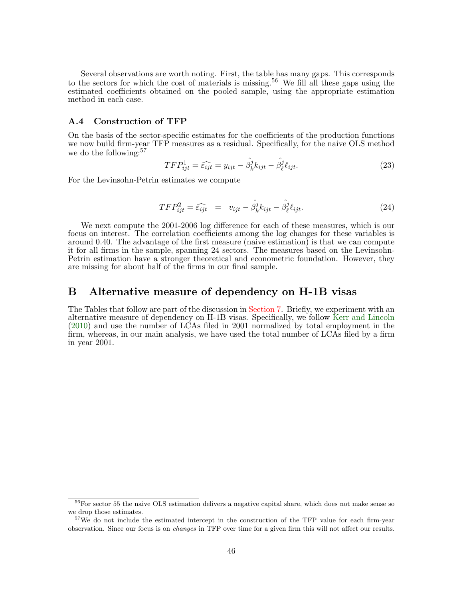Several observations are worth noting. First, the table has many gaps. This corresponds to the sectors for which the cost of materials is missing.<sup>56</sup> We fill all these gaps using the estimated coefficients obtained on the pooled sample, using the appropriate estimation method in each case.

#### A.4 Construction of TFP

On the basis of the sector-specific estimates for the coefficients of the production functions we now build firm-year TFP measures as a residual. Specifically, for the naive OLS method we do the following:<sup>57</sup>

$$
TFP_{ijt}^1 = \widehat{\epsilon_{ijt}} = y_{ijt} - \widehat{\beta_k^j} k_{ijt} - \widehat{\beta_\ell^j} \ell_{ijt}.
$$
 (23)

For the Levinsohn-Petrin estimates we compute

$$
TFP_{ijt}^2 = \widehat{\epsilon_{ijt}} = v_{ijt} - \widehat{\beta_k^j} k_{ijt} - \widehat{\beta_\ell^j} \ell_{ijt}.
$$
 (24)

We next compute the 2001-2006 log difference for each of these measures, which is our focus on interest. The correlation coefficients among the log changes for these variables is around 0.40. The advantage of the first measure (naive estimation) is that we can compute it for all firms in the sample, spanning 24 sectors. The measures based on the Levinsohn-Petrin estimation have a stronger theoretical and econometric foundation. However, they are missing for about half of the firms in our final sample.

### B Alternative measure of dependency on H-1B visas

The Tables that follow are part of the discussion in [Section 7.](#page-27-0) Briefly, we experiment with an alternative measure of dependency on H-1B visas. Specifically, we follow [Kerr and Lincoln](#page-32-1) [\(2010\)](#page-32-1) and use the number of LCAs filed in 2001 normalized by total employment in the firm, whereas, in our main analysis, we have used the total number of LCAs filed by a firm in year 2001.

<sup>&</sup>lt;sup>56</sup>For sector 55 the naive OLS estimation delivers a negative capital share, which does not make sense so we drop those estimates.

<sup>&</sup>lt;sup>57</sup>We do not include the estimated intercept in the construction of the TFP value for each firm-year observation. Since our focus is on changes in TFP over time for a given firm this will not affect our results.